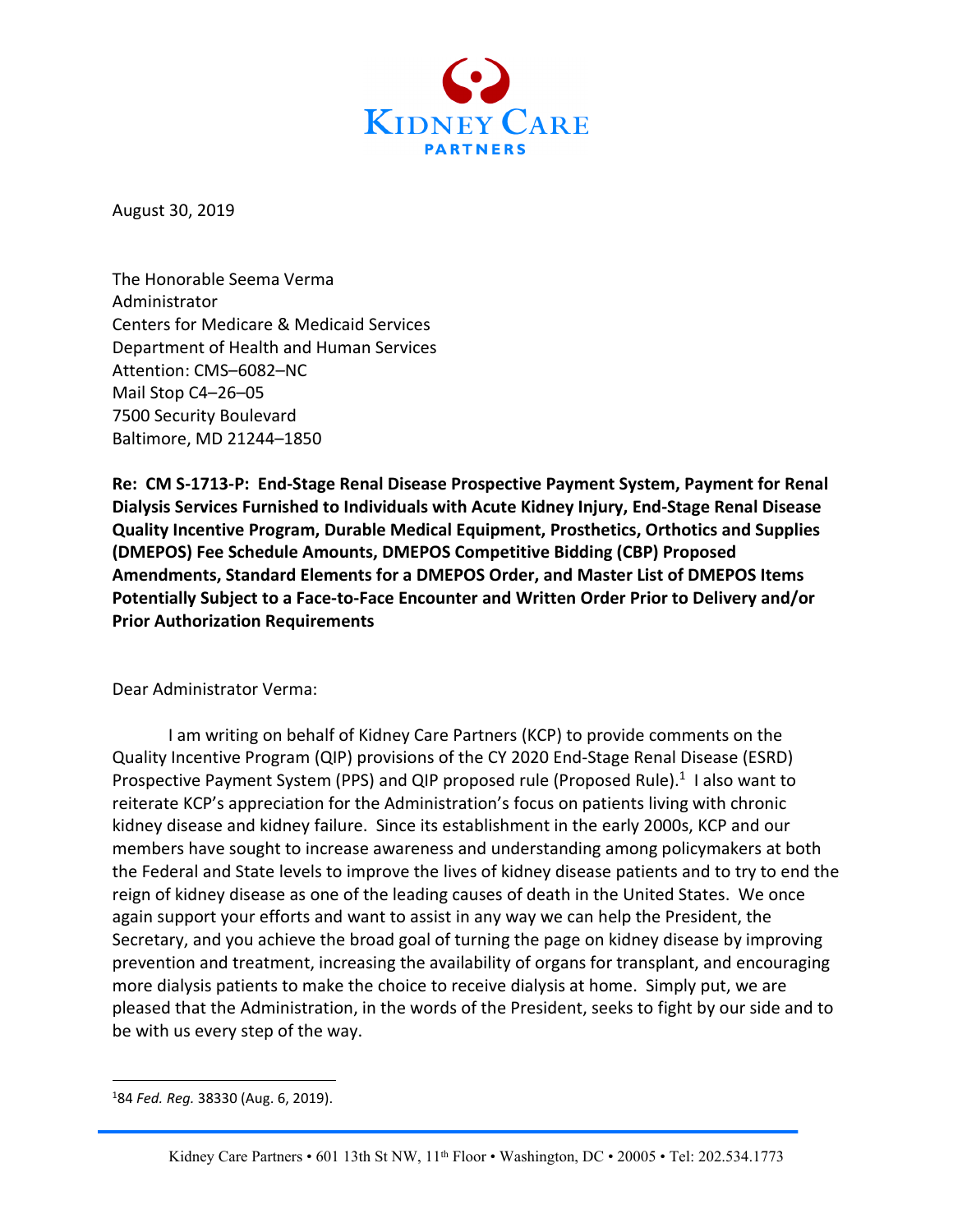

August 30, 2019

The Honorable Seema Verma Administrator Centers for Medicare & Medicaid Services Department of Health and Human Services Attention: CMS–6082–NC Mail Stop C4–26–05 7500 Security Boulevard Baltimore, MD 21244–1850

**Re: CM S-1713-P: End-Stage Renal Disease Prospective Payment System, Payment for Renal Dialysis Services Furnished to Individuals with Acute Kidney Injury, End-Stage Renal Disease Quality Incentive Program, Durable Medical Equipment, Prosthetics, Orthotics and Supplies (DMEPOS) Fee Schedule Amounts, DMEPOS Competitive Bidding (CBP) Proposed Amendments, Standard Elements for a DMEPOS Order, and Master List of DMEPOS Items Potentially Subject to a Face-to-Face Encounter and Written Order Prior to Delivery and/or Prior Authorization Requirements**

Dear Administrator Verma:

I am writing on behalf of Kidney Care Partners (KCP) to provide comments on the Quality Incentive Program (QIP) provisions of the CY 2020 End-Stage Renal Disease (ESRD) Prospective Payment System (PPS) and QIP proposed rule (Proposed Rule).<sup>1</sup> I also want to reiterate KCP's appreciation for the Administration's focus on patients living with chronic kidney disease and kidney failure. Since its establishment in the early 2000s, KCP and our members have sought to increase awareness and understanding among policymakers at both the Federal and State levels to improve the lives of kidney disease patients and to try to end the reign of kidney disease as one of the leading causes of death in the United States. We once again support your efforts and want to assist in any way we can help the President, the Secretary, and you achieve the broad goal of turning the page on kidney disease by improving prevention and treatment, increasing the availability of organs for transplant, and encouraging more dialysis patients to make the choice to receive dialysis at home. Simply put, we are pleased that the Administration, in the words of the President, seeks to fight by our side and to be with us every step of the way.

<sup>1</sup> 84 *Fed. Reg.* 38330 (Aug. 6, 2019).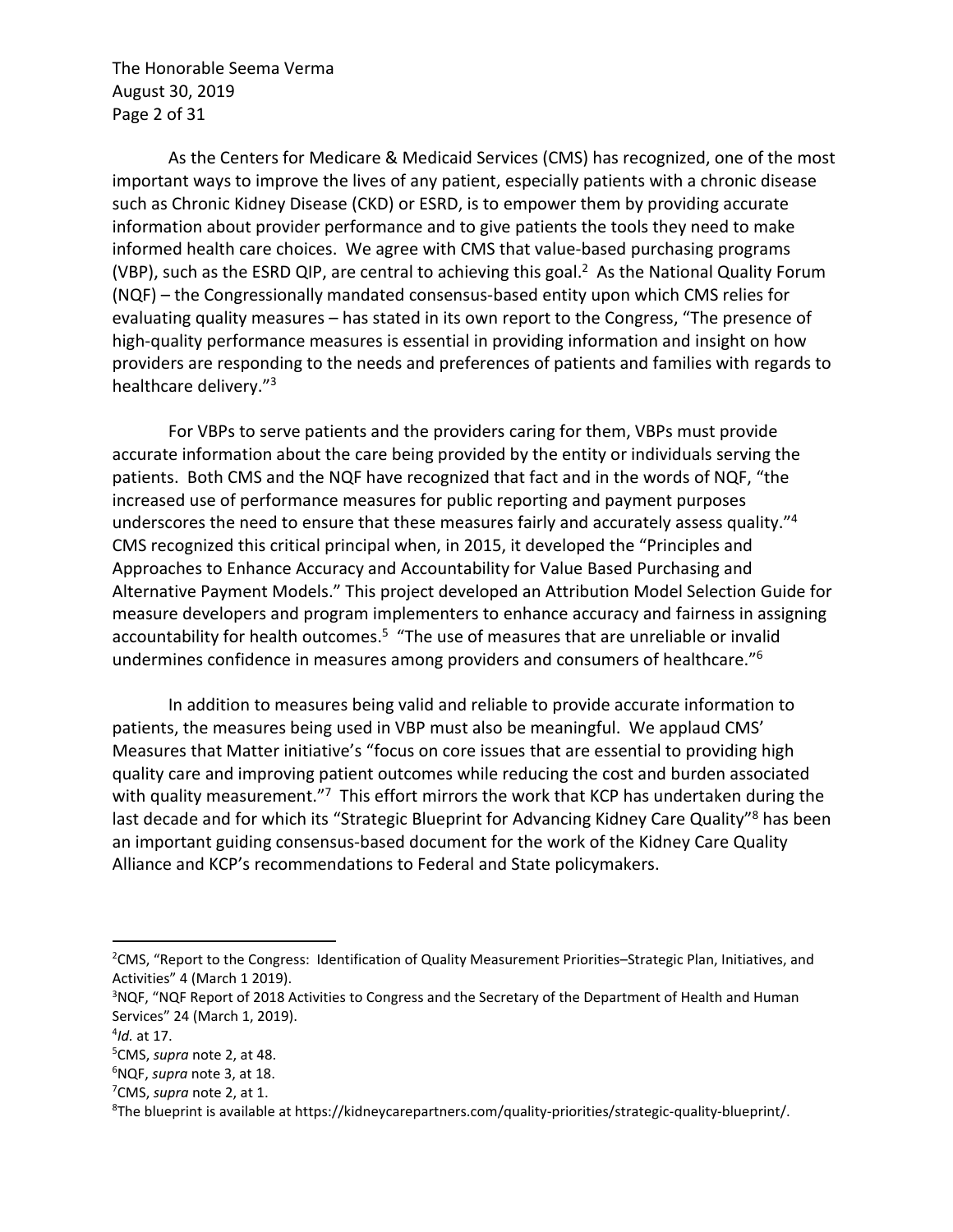The Honorable Seema Verma August 30, 2019 Page 2 of 31

As the Centers for Medicare & Medicaid Services (CMS) has recognized, one of the most important ways to improve the lives of any patient, especially patients with a chronic disease such as Chronic Kidney Disease (CKD) or ESRD, is to empower them by providing accurate information about provider performance and to give patients the tools they need to make informed health care choices. We agree with CMS that value-based purchasing programs (VBP), such as the ESRD QIP, are central to achieving this goal.2 As the National Quality Forum (NQF) – the Congressionally mandated consensus-based entity upon which CMS relies for evaluating quality measures – has stated in its own report to the Congress, "The presence of high-quality performance measures is essential in providing information and insight on how providers are responding to the needs and preferences of patients and families with regards to healthcare delivery."3

For VBPs to serve patients and the providers caring for them, VBPs must provide accurate information about the care being provided by the entity or individuals serving the patients. Both CMS and the NQF have recognized that fact and in the words of NQF, "the increased use of performance measures for public reporting and payment purposes underscores the need to ensure that these measures fairly and accurately assess quality."4 CMS recognized this critical principal when, in 2015, it developed the "Principles and Approaches to Enhance Accuracy and Accountability for Value Based Purchasing and Alternative Payment Models." This project developed an Attribution Model Selection Guide for measure developers and program implementers to enhance accuracy and fairness in assigning accountability for health outcomes.<sup>5</sup> "The use of measures that are unreliable or invalid undermines confidence in measures among providers and consumers of healthcare."6

In addition to measures being valid and reliable to provide accurate information to patients, the measures being used in VBP must also be meaningful. We applaud CMS' Measures that Matter initiative's "focus on core issues that are essential to providing high quality care and improving patient outcomes while reducing the cost and burden associated with quality measurement."<sup>7</sup> This effort mirrors the work that KCP has undertaken during the last decade and for which its "Strategic Blueprint for Advancing Kidney Care Quality"<sup>8</sup> has been an important guiding consensus-based document for the work of the Kidney Care Quality Alliance and KCP's recommendations to Federal and State policymakers.

<sup>&</sup>lt;sup>2</sup>CMS, "Report to the Congress: Identification of Quality Measurement Priorities–Strategic Plan, Initiatives, and Activities" 4 (March 1 2019).

<sup>&</sup>lt;sup>3</sup>NQF, "NQF Report of 2018 Activities to Congress and the Secretary of the Department of Health and Human Services" 24 (March 1, 2019).

<sup>4</sup> *Id.* at 17.

<sup>5</sup> CMS, *supra* note 2, at 48.

<sup>6</sup> NQF, *supra* note 3, at 18.

<sup>7</sup> CMS, *supra* note 2, at 1.

<sup>8</sup> The blueprint is available at https://kidneycarepartners.com/quality-priorities/strategic-quality-blueprint/.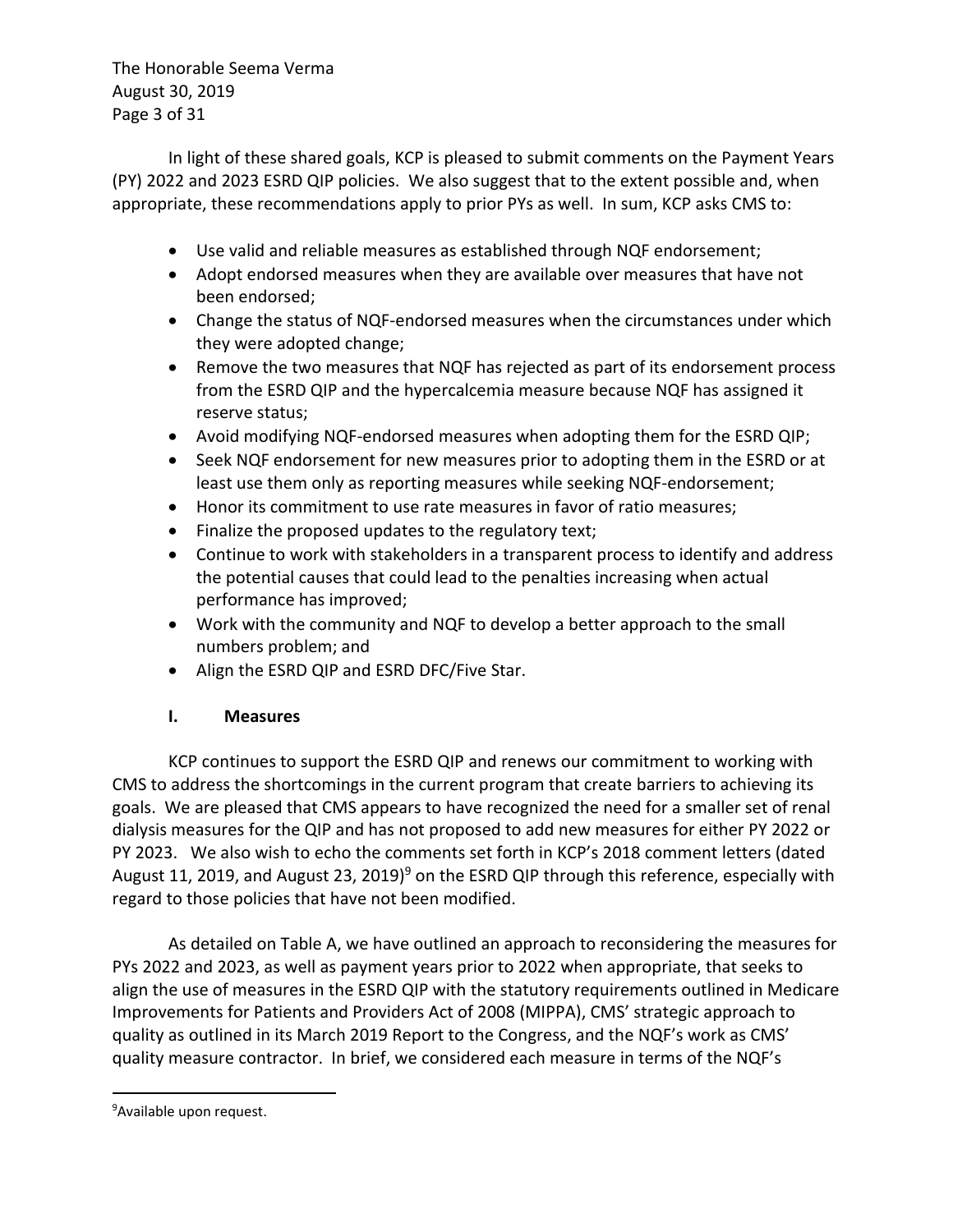The Honorable Seema Verma August 30, 2019 Page 3 of 31

In light of these shared goals, KCP is pleased to submit comments on the Payment Years (PY) 2022 and 2023 ESRD QIP policies. We also suggest that to the extent possible and, when appropriate, these recommendations apply to prior PYs as well. In sum, KCP asks CMS to:

- Use valid and reliable measures as established through NQF endorsement;
- Adopt endorsed measures when they are available over measures that have not been endorsed;
- Change the status of NQF-endorsed measures when the circumstances under which they were adopted change;
- Remove the two measures that NQF has rejected as part of its endorsement process from the ESRD QIP and the hypercalcemia measure because NQF has assigned it reserve status;
- Avoid modifying NQF-endorsed measures when adopting them for the ESRD QIP;
- Seek NQF endorsement for new measures prior to adopting them in the ESRD or at least use them only as reporting measures while seeking NQF-endorsement;
- Honor its commitment to use rate measures in favor of ratio measures;
- Finalize the proposed updates to the regulatory text;
- Continue to work with stakeholders in a transparent process to identify and address the potential causes that could lead to the penalties increasing when actual performance has improved;
- Work with the community and NQF to develop a better approach to the small numbers problem; and
- Align the ESRD QIP and ESRD DFC/Five Star.

#### **I. Measures**

KCP continues to support the ESRD QIP and renews our commitment to working with CMS to address the shortcomings in the current program that create barriers to achieving its goals. We are pleased that CMS appears to have recognized the need for a smaller set of renal dialysis measures for the QIP and has not proposed to add new measures for either PY 2022 or PY 2023. We also wish to echo the comments set forth in KCP's 2018 comment letters (dated August 11, 2019, and August 23, 2019)<sup>9</sup> on the ESRD QIP through this reference, especially with regard to those policies that have not been modified.

As detailed on Table A, we have outlined an approach to reconsidering the measures for PYs 2022 and 2023, as well as payment years prior to 2022 when appropriate, that seeks to align the use of measures in the ESRD QIP with the statutory requirements outlined in Medicare Improvements for Patients and Providers Act of 2008 (MIPPA), CMS' strategic approach to quality as outlined in its March 2019 Report to the Congress, and the NQF's work as CMS' quality measure contractor. In brief, we considered each measure in terms of the NQF's

<sup>&</sup>lt;sup>9</sup>Available upon request.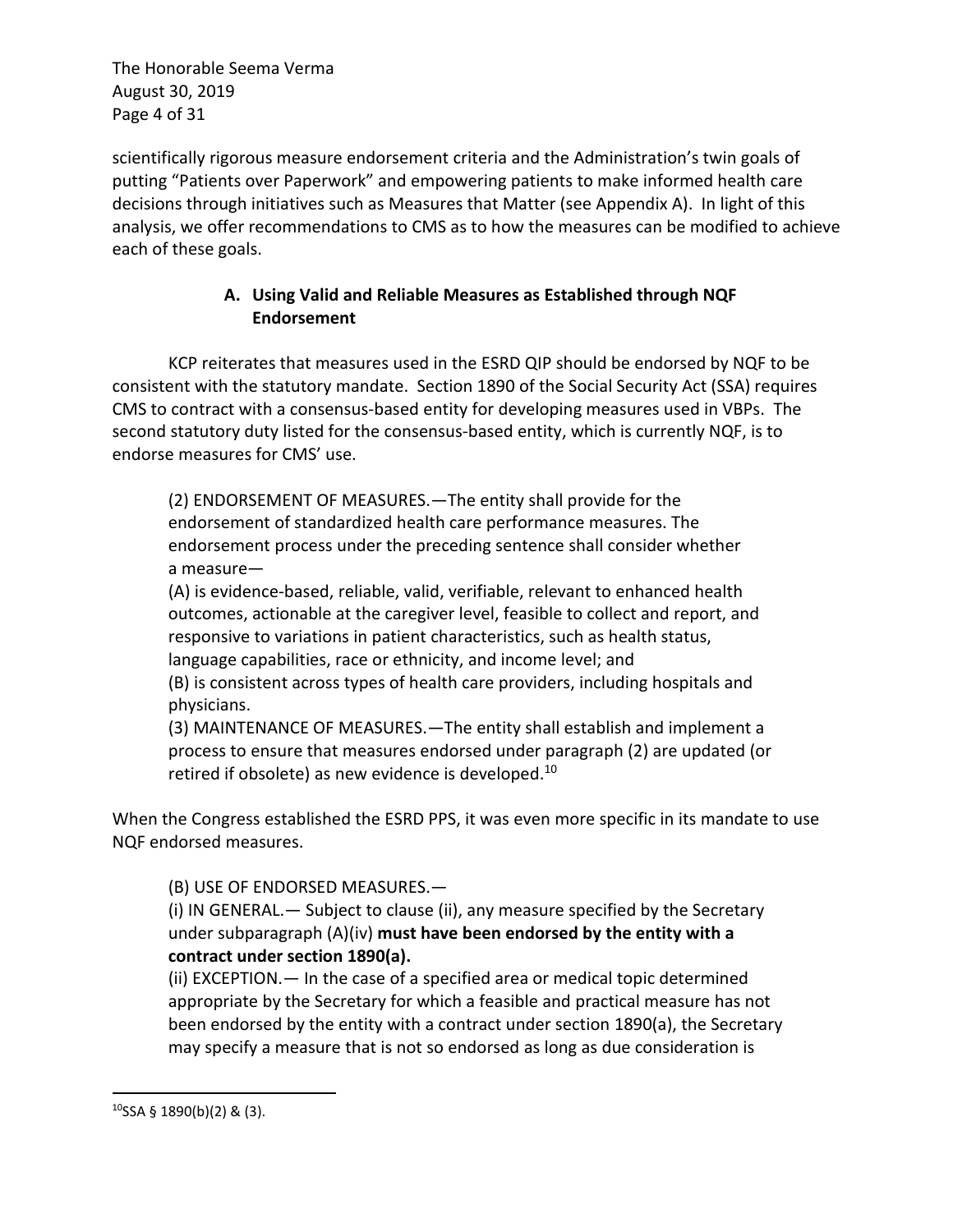The Honorable Seema Verma August 30, 2019 Page 4 of 31

scientifically rigorous measure endorsement criteria and the Administration's twin goals of putting "Patients over Paperwork" and empowering patients to make informed health care decisions through initiatives such as Measures that Matter (see Appendix A). In light of this analysis, we offer recommendations to CMS as to how the measures can be modified to achieve each of these goals.

## **A. Using Valid and Reliable Measures as Established through NQF Endorsement**

KCP reiterates that measures used in the ESRD QIP should be endorsed by NQF to be consistent with the statutory mandate. Section 1890 of the Social Security Act (SSA) requires CMS to contract with a consensus-based entity for developing measures used in VBPs. The second statutory duty listed for the consensus-based entity, which is currently NQF, is to endorse measures for CMS' use.

(2) ENDORSEMENT OF MEASURES.—The entity shall provide for the endorsement of standardized health care performance measures. The endorsement process under the preceding sentence shall consider whether a measure—

(A) is evidence-based, reliable, valid, verifiable, relevant to enhanced health outcomes, actionable at the caregiver level, feasible to collect and report, and responsive to variations in patient characteristics, such as health status, language capabilities, race or ethnicity, and income level; and

(B) is consistent across types of health care providers, including hospitals and physicians.

(3) MAINTENANCE OF MEASURES.—The entity shall establish and implement a process to ensure that measures endorsed under paragraph (2) are updated (or retired if obsolete) as new evidence is developed.<sup>10</sup>

When the Congress established the ESRD PPS, it was even more specific in its mandate to use NQF endorsed measures.

(B) USE OF ENDORSED MEASURES.—

(i) IN GENERAL.— Subject to clause (ii), any measure specified by the Secretary under subparagraph (A)(iv) **must have been endorsed by the entity with a contract under section 1890(a).**

(ii) EXCEPTION.— In the case of a specified area or medical topic determined appropriate by the Secretary for which a feasible and practical measure has not been endorsed by the entity with a contract under section 1890(a), the Secretary may specify a measure that is not so endorsed as long as due consideration is

 $10$ SSA § 1890(b)(2) & (3).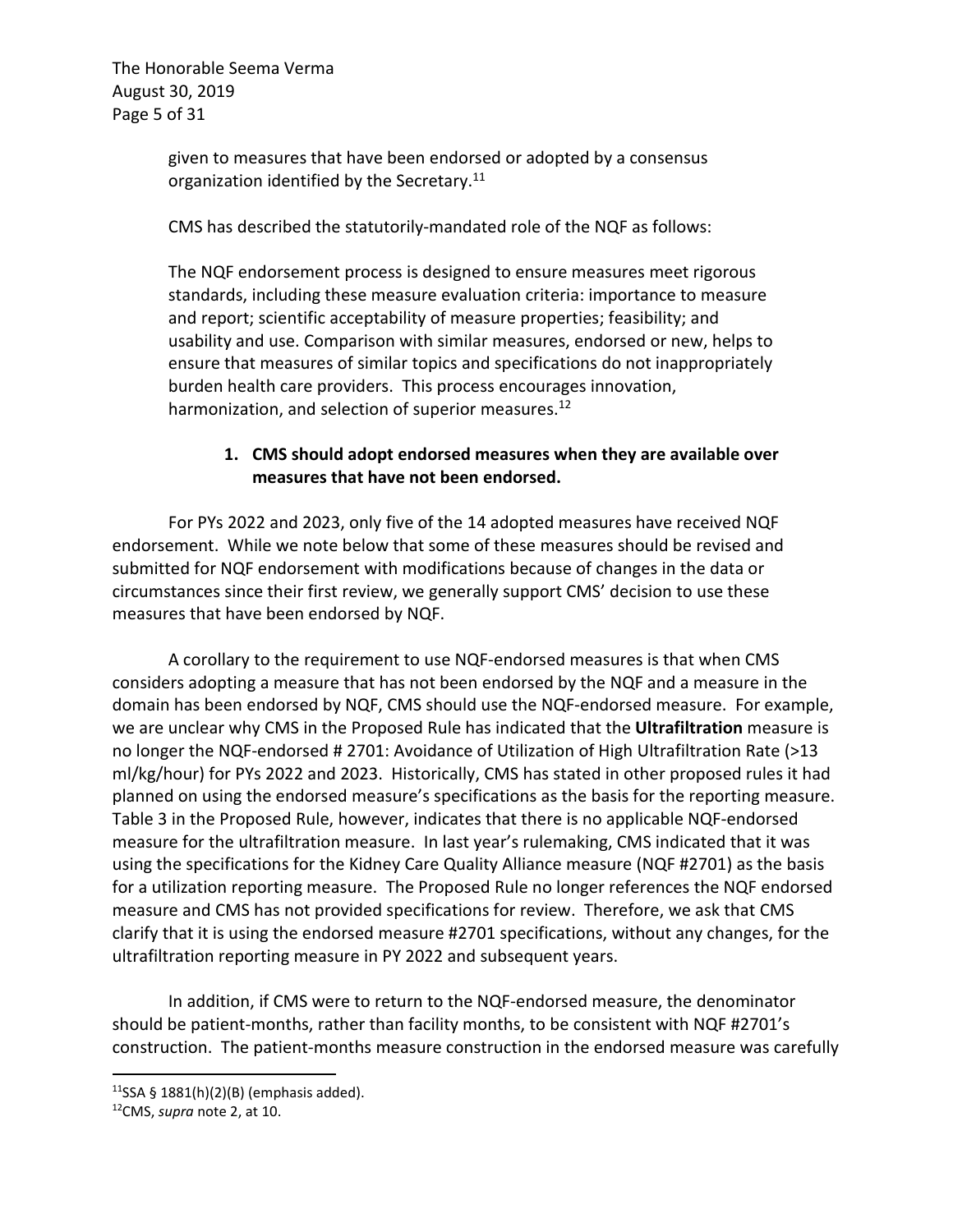The Honorable Seema Verma August 30, 2019 Page 5 of 31

> given to measures that have been endorsed or adopted by a consensus organization identified by the Secretary.<sup>11</sup>

> CMS has described the statutorily-mandated role of the NQF as follows:

The NQF endorsement process is designed to ensure measures meet rigorous standards, including these measure evaluation criteria: importance to measure and report; scientific acceptability of measure properties; feasibility; and usability and use. Comparison with similar measures, endorsed or new, helps to ensure that measures of similar topics and specifications do not inappropriately burden health care providers. This process encourages innovation, harmonization, and selection of superior measures.<sup>12</sup>

#### **1. CMS should adopt endorsed measures when they are available over measures that have not been endorsed.**

For PYs 2022 and 2023, only five of the 14 adopted measures have received NQF endorsement. While we note below that some of these measures should be revised and submitted for NQF endorsement with modifications because of changes in the data or circumstances since their first review, we generally support CMS' decision to use these measures that have been endorsed by NQF.

A corollary to the requirement to use NQF-endorsed measures is that when CMS considers adopting a measure that has not been endorsed by the NQF and a measure in the domain has been endorsed by NQF, CMS should use the NQF-endorsed measure. For example, we are unclear why CMS in the Proposed Rule has indicated that the **Ultrafiltration** measure is no longer the NQF-endorsed # 2701: Avoidance of Utilization of High Ultrafiltration Rate (>13 ml/kg/hour) for PYs 2022 and 2023. Historically, CMS has stated in other proposed rules it had planned on using the endorsed measure's specifications as the basis for the reporting measure. Table 3 in the Proposed Rule, however, indicates that there is no applicable NQF-endorsed measure for the ultrafiltration measure. In last year's rulemaking, CMS indicated that it was using the specifications for the Kidney Care Quality Alliance measure (NQF #2701) as the basis for a utilization reporting measure. The Proposed Rule no longer references the NQF endorsed measure and CMS has not provided specifications for review. Therefore, we ask that CMS clarify that it is using the endorsed measure #2701 specifications, without any changes, for the ultrafiltration reporting measure in PY 2022 and subsequent years.

In addition, if CMS were to return to the NQF-endorsed measure, the denominator should be patient-months, rather than facility months, to be consistent with NQF #2701's construction. The patient-months measure construction in the endorsed measure was carefully

 $11$ SSA § 1881(h)(2)(B) (emphasis added).

<sup>12</sup>CMS, *supra* note 2, at 10.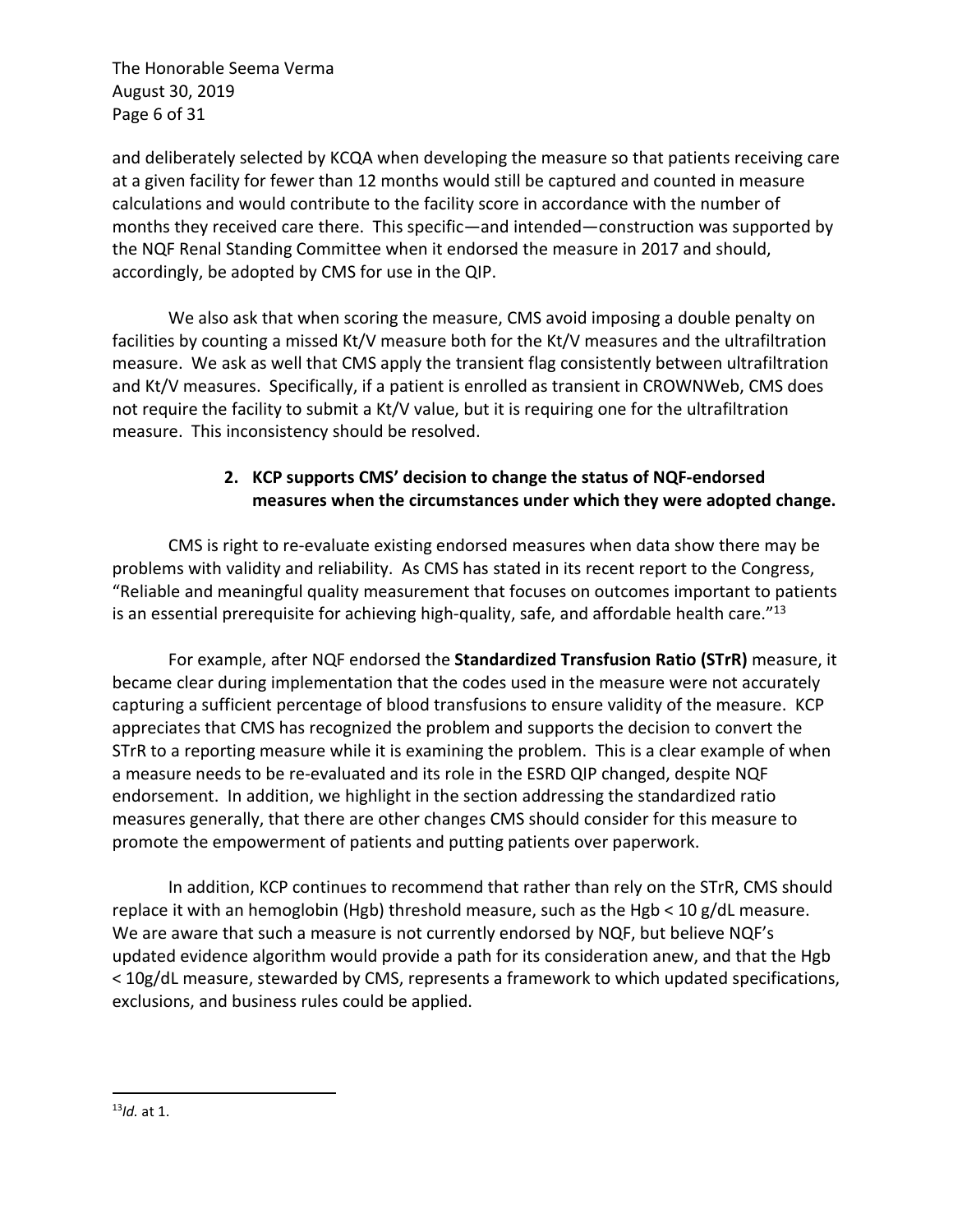The Honorable Seema Verma August 30, 2019 Page 6 of 31

and deliberately selected by KCQA when developing the measure so that patients receiving care at a given facility for fewer than 12 months would still be captured and counted in measure calculations and would contribute to the facility score in accordance with the number of months they received care there. This specific—and intended—construction was supported by the NQF Renal Standing Committee when it endorsed the measure in 2017 and should, accordingly, be adopted by CMS for use in the QIP.

We also ask that when scoring the measure, CMS avoid imposing a double penalty on facilities by counting a missed Kt/V measure both for the Kt/V measures and the ultrafiltration measure. We ask as well that CMS apply the transient flag consistently between ultrafiltration and Kt/V measures. Specifically, if a patient is enrolled as transient in CROWNWeb, CMS does not require the facility to submit a Kt/V value, but it is requiring one for the ultrafiltration measure. This inconsistency should be resolved.

## **2. KCP supports CMS' decision to change the status of NQF-endorsed measures when the circumstances under which they were adopted change.**

CMS is right to re-evaluate existing endorsed measures when data show there may be problems with validity and reliability. As CMS has stated in its recent report to the Congress, "Reliable and meaningful quality measurement that focuses on outcomes important to patients is an essential prerequisite for achieving high-quality, safe, and affordable health care." $^{13}$ 

For example, after NQF endorsed the **Standardized Transfusion Ratio (STrR)** measure, it became clear during implementation that the codes used in the measure were not accurately capturing a sufficient percentage of blood transfusions to ensure validity of the measure. KCP appreciates that CMS has recognized the problem and supports the decision to convert the STrR to a reporting measure while it is examining the problem. This is a clear example of when a measure needs to be re-evaluated and its role in the ESRD QIP changed, despite NQF endorsement. In addition, we highlight in the section addressing the standardized ratio measures generally, that there are other changes CMS should consider for this measure to promote the empowerment of patients and putting patients over paperwork.

In addition, KCP continues to recommend that rather than rely on the STrR, CMS should replace it with an hemoglobin (Hgb) threshold measure, such as the Hgb < 10 g/dL measure. We are aware that such a measure is not currently endorsed by NQF, but believe NQF's updated evidence algorithm would provide a path for its consideration anew, and that the Hgb < 10g/dL measure, stewarded by CMS, represents a framework to which updated specifications, exclusions, and business rules could be applied.

<sup>13</sup>*Id.* at 1.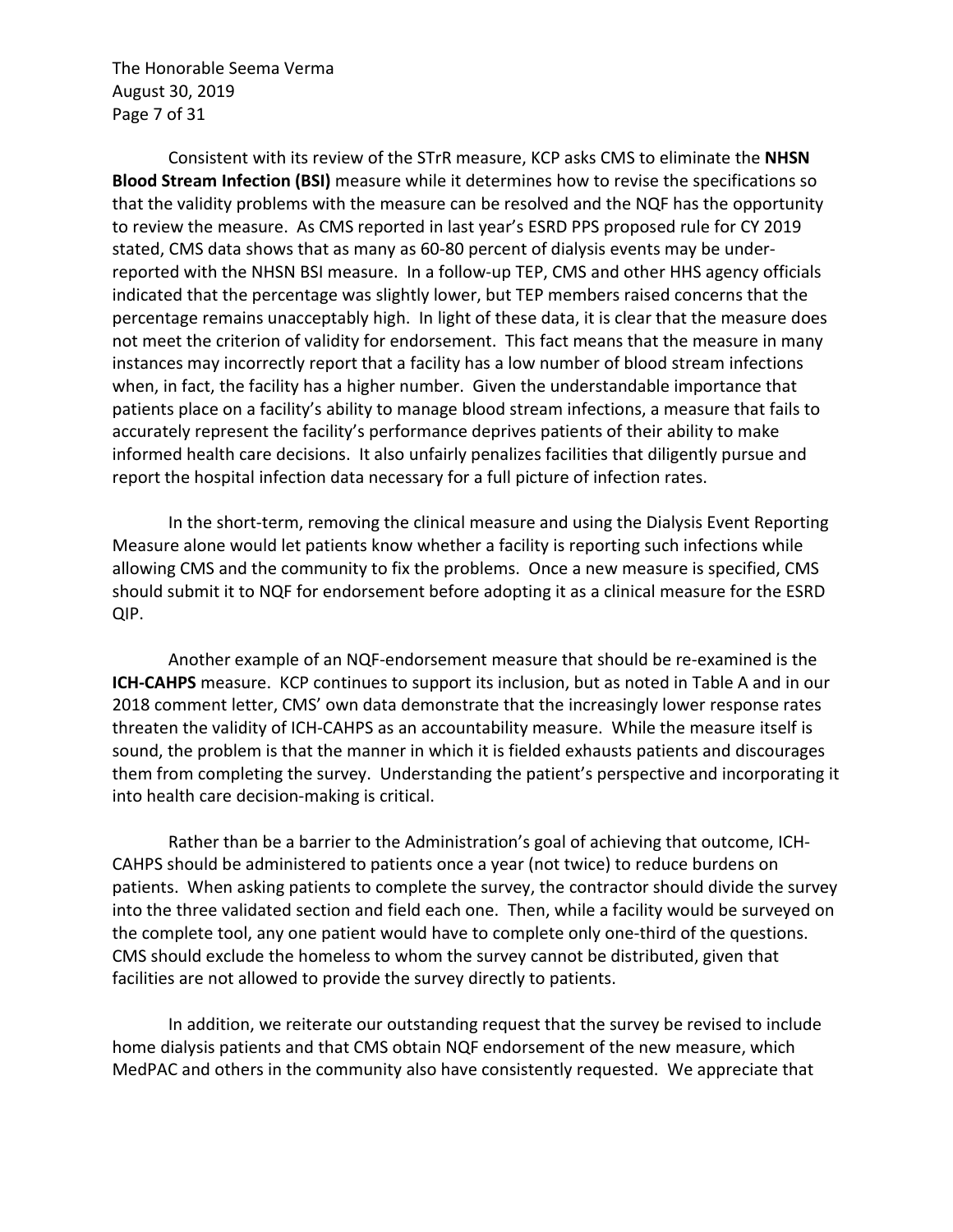The Honorable Seema Verma August 30, 2019 Page 7 of 31

Consistent with its review of the STrR measure, KCP asks CMS to eliminate the **NHSN Blood Stream Infection (BSI)** measure while it determines how to revise the specifications so that the validity problems with the measure can be resolved and the NQF has the opportunity to review the measure. As CMS reported in last year's ESRD PPS proposed rule for CY 2019 stated, CMS data shows that as many as 60-80 percent of dialysis events may be underreported with the NHSN BSI measure. In a follow-up TEP, CMS and other HHS agency officials indicated that the percentage was slightly lower, but TEP members raised concerns that the percentage remains unacceptably high. In light of these data, it is clear that the measure does not meet the criterion of validity for endorsement. This fact means that the measure in many instances may incorrectly report that a facility has a low number of blood stream infections when, in fact, the facility has a higher number. Given the understandable importance that patients place on a facility's ability to manage blood stream infections, a measure that fails to accurately represent the facility's performance deprives patients of their ability to make informed health care decisions. It also unfairly penalizes facilities that diligently pursue and report the hospital infection data necessary for a full picture of infection rates.

In the short-term, removing the clinical measure and using the Dialysis Event Reporting Measure alone would let patients know whether a facility is reporting such infections while allowing CMS and the community to fix the problems. Once a new measure is specified, CMS should submit it to NQF for endorsement before adopting it as a clinical measure for the ESRD QIP.

Another example of an NQF-endorsement measure that should be re-examined is the **ICH-CAHPS** measure. KCP continues to support its inclusion, but as noted in Table A and in our 2018 comment letter, CMS' own data demonstrate that the increasingly lower response rates threaten the validity of ICH-CAHPS as an accountability measure. While the measure itself is sound, the problem is that the manner in which it is fielded exhausts patients and discourages them from completing the survey. Understanding the patient's perspective and incorporating it into health care decision-making is critical.

Rather than be a barrier to the Administration's goal of achieving that outcome, ICH-CAHPS should be administered to patients once a year (not twice) to reduce burdens on patients. When asking patients to complete the survey, the contractor should divide the survey into the three validated section and field each one. Then, while a facility would be surveyed on the complete tool, any one patient would have to complete only one-third of the questions. CMS should exclude the homeless to whom the survey cannot be distributed, given that facilities are not allowed to provide the survey directly to patients.

In addition, we reiterate our outstanding request that the survey be revised to include home dialysis patients and that CMS obtain NQF endorsement of the new measure, which MedPAC and others in the community also have consistently requested. We appreciate that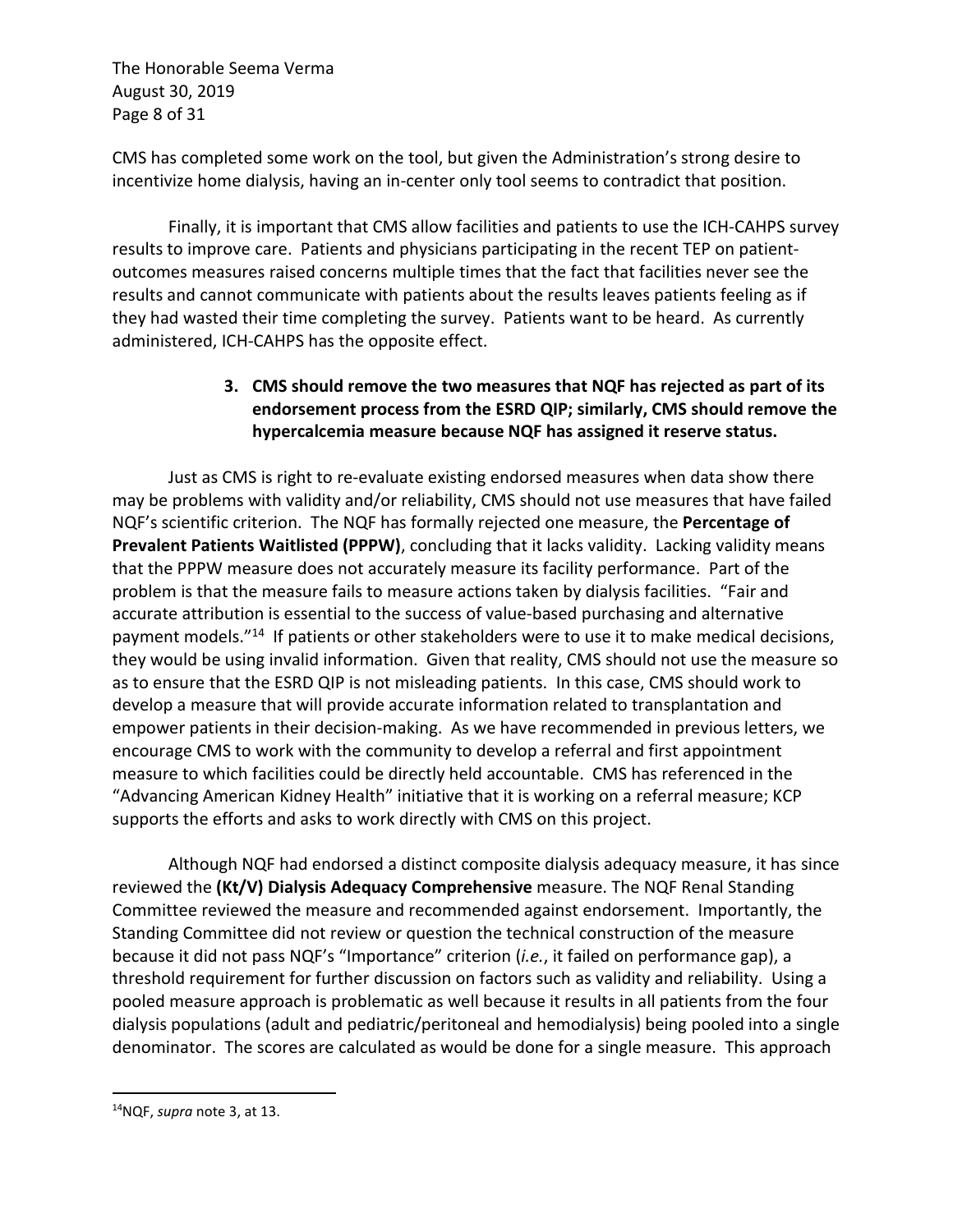The Honorable Seema Verma August 30, 2019 Page 8 of 31

CMS has completed some work on the tool, but given the Administration's strong desire to incentivize home dialysis, having an in-center only tool seems to contradict that position.

Finally, it is important that CMS allow facilities and patients to use the ICH-CAHPS survey results to improve care. Patients and physicians participating in the recent TEP on patientoutcomes measures raised concerns multiple times that the fact that facilities never see the results and cannot communicate with patients about the results leaves patients feeling as if they had wasted their time completing the survey. Patients want to be heard. As currently administered, ICH-CAHPS has the opposite effect.

## **3. CMS should remove the two measures that NQF has rejected as part of its endorsement process from the ESRD QIP; similarly, CMS should remove the hypercalcemia measure because NQF has assigned it reserve status.**

Just as CMS is right to re-evaluate existing endorsed measures when data show there may be problems with validity and/or reliability, CMS should not use measures that have failed NQF's scientific criterion. The NQF has formally rejected one measure, the **Percentage of Prevalent Patients Waitlisted (PPPW)**, concluding that it lacks validity. Lacking validity means that the PPPW measure does not accurately measure its facility performance. Part of the problem is that the measure fails to measure actions taken by dialysis facilities. "Fair and accurate attribution is essential to the success of value-based purchasing and alternative payment models."14 If patients or other stakeholders were to use it to make medical decisions, they would be using invalid information. Given that reality, CMS should not use the measure so as to ensure that the ESRD QIP is not misleading patients. In this case, CMS should work to develop a measure that will provide accurate information related to transplantation and empower patients in their decision-making. As we have recommended in previous letters, we encourage CMS to work with the community to develop a referral and first appointment measure to which facilities could be directly held accountable. CMS has referenced in the "Advancing American Kidney Health" initiative that it is working on a referral measure; KCP supports the efforts and asks to work directly with CMS on this project.

Although NQF had endorsed a distinct composite dialysis adequacy measure, it has since reviewed the **(Kt/V) Dialysis Adequacy Comprehensive** measure. The NQF Renal Standing Committee reviewed the measure and recommended against endorsement. Importantly, the Standing Committee did not review or question the technical construction of the measure because it did not pass NQF's "Importance" criterion (*i.e.*, it failed on performance gap), a threshold requirement for further discussion on factors such as validity and reliability. Using a pooled measure approach is problematic as well because it results in all patients from the four dialysis populations (adult and pediatric/peritoneal and hemodialysis) being pooled into a single denominator. The scores are calculated as would be done for a single measure. This approach

<sup>14</sup>NQF, *supra* note 3, at 13.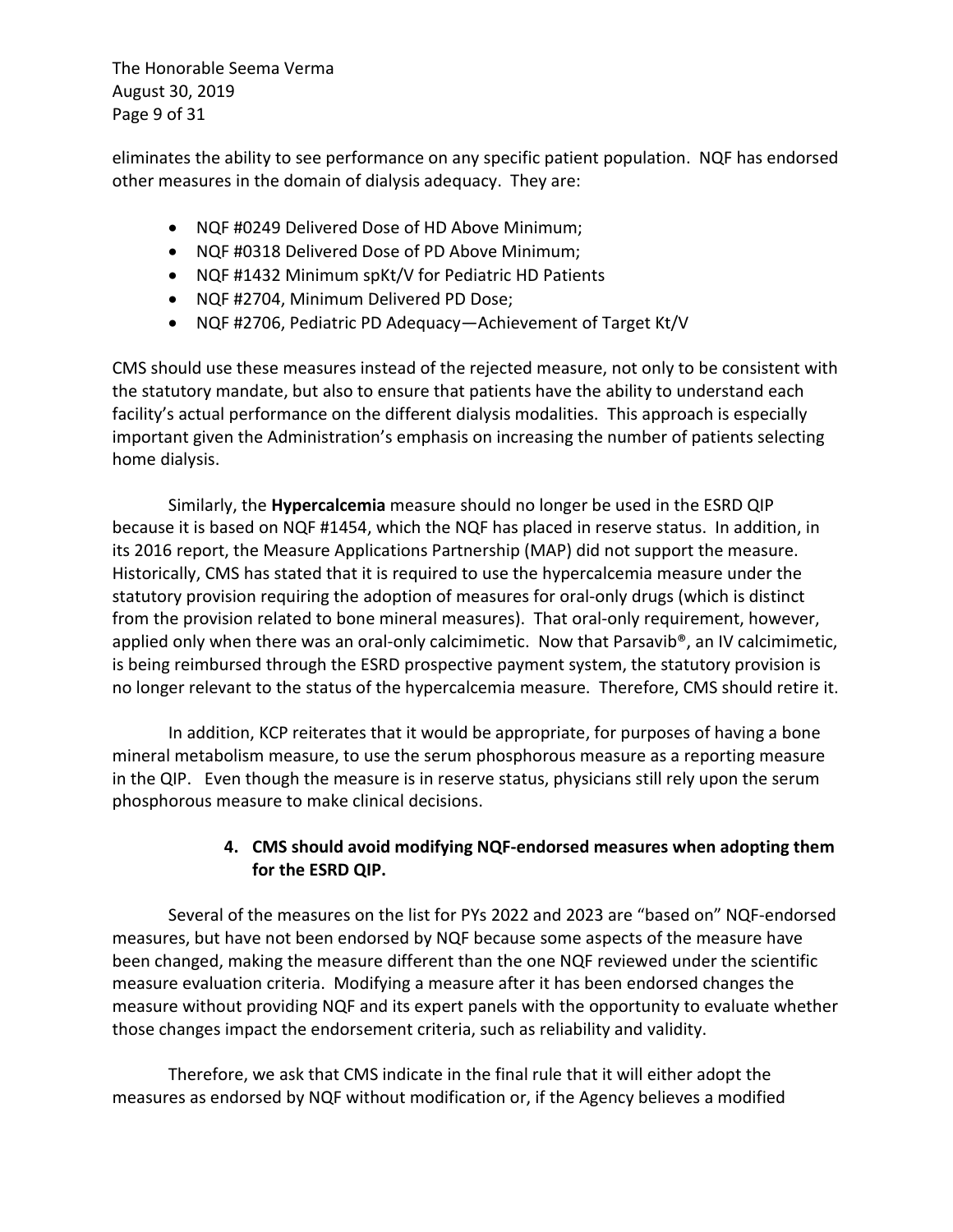The Honorable Seema Verma August 30, 2019 Page 9 of 31

eliminates the ability to see performance on any specific patient population. NQF has endorsed other measures in the domain of dialysis adequacy. They are:

- NQF #0249 Delivered Dose of HD Above Minimum;
- NQF #0318 Delivered Dose of PD Above Minimum;
- NQF #1432 Minimum spKt/V for Pediatric HD Patients
- NQF #2704, Minimum Delivered PD Dose;
- NQF #2706, Pediatric PD Adequacy—Achievement of Target Kt/V

CMS should use these measures instead of the rejected measure, not only to be consistent with the statutory mandate, but also to ensure that patients have the ability to understand each facility's actual performance on the different dialysis modalities. This approach is especially important given the Administration's emphasis on increasing the number of patients selecting home dialysis.

Similarly, the **Hypercalcemia** measure should no longer be used in the ESRD QIP because it is based on NQF #1454, which the NQF has placed in reserve status. In addition, in its 2016 report, the Measure Applications Partnership (MAP) did not support the measure. Historically, CMS has stated that it is required to use the hypercalcemia measure under the statutory provision requiring the adoption of measures for oral-only drugs (which is distinct from the provision related to bone mineral measures). That oral-only requirement, however, applied only when there was an oral-only calcimimetic. Now that Parsavib®, an IV calcimimetic, is being reimbursed through the ESRD prospective payment system, the statutory provision is no longer relevant to the status of the hypercalcemia measure. Therefore, CMS should retire it.

In addition, KCP reiterates that it would be appropriate, for purposes of having a bone mineral metabolism measure, to use the serum phosphorous measure as a reporting measure in the QIP. Even though the measure is in reserve status, physicians still rely upon the serum phosphorous measure to make clinical decisions.

### **4. CMS should avoid modifying NQF-endorsed measures when adopting them for the ESRD QIP.**

Several of the measures on the list for PYs 2022 and 2023 are "based on" NQF-endorsed measures, but have not been endorsed by NQF because some aspects of the measure have been changed, making the measure different than the one NQF reviewed under the scientific measure evaluation criteria. Modifying a measure after it has been endorsed changes the measure without providing NQF and its expert panels with the opportunity to evaluate whether those changes impact the endorsement criteria, such as reliability and validity.

Therefore, we ask that CMS indicate in the final rule that it will either adopt the measures as endorsed by NQF without modification or, if the Agency believes a modified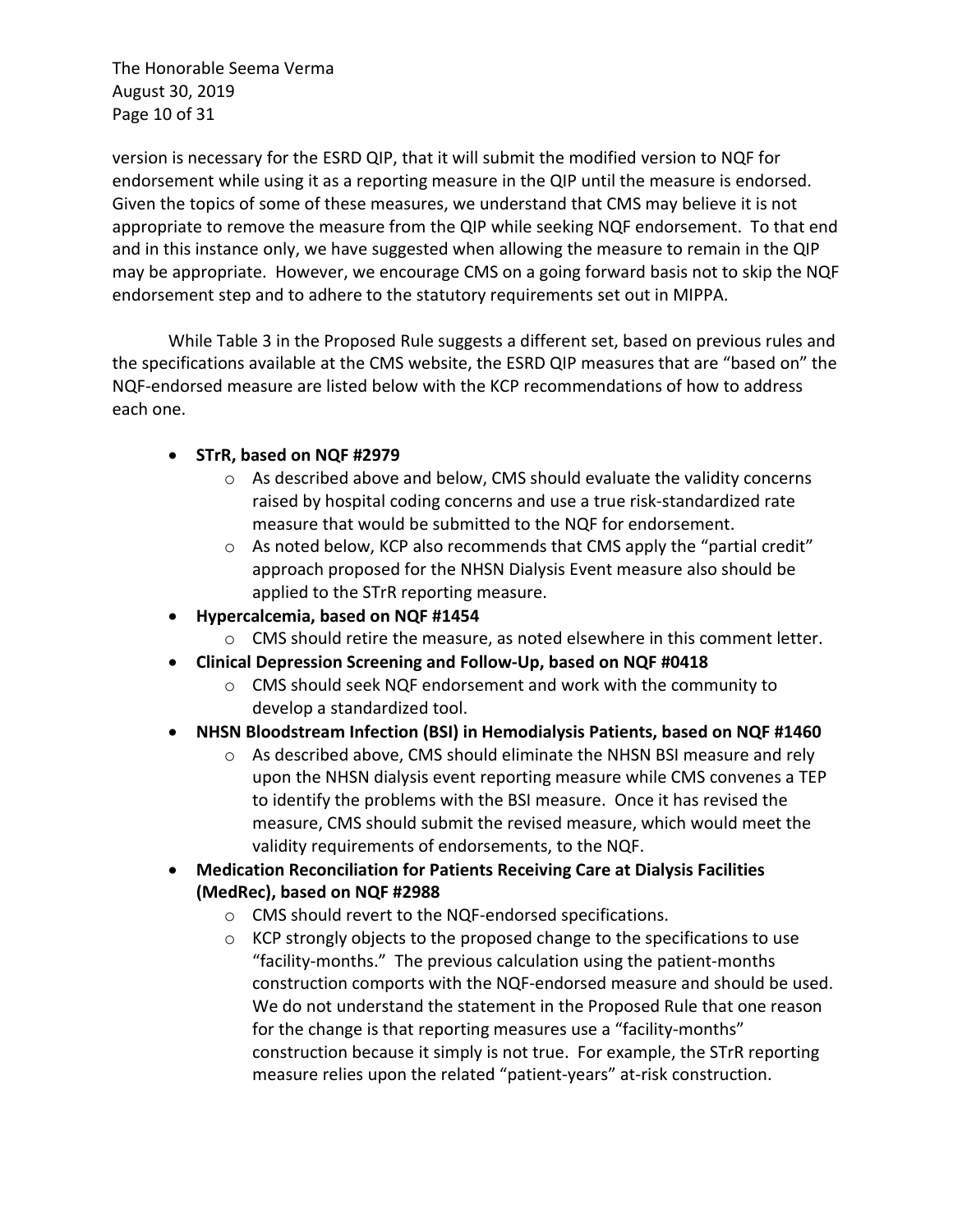The Honorable Seema Verma August 30, 2019 Page 10 of 31

version is necessary for the ESRD QIP, that it will submit the modified version to NQF for endorsement while using it as a reporting measure in the QIP until the measure is endorsed. Given the topics of some of these measures, we understand that CMS may believe it is not appropriate to remove the measure from the QIP while seeking NQF endorsement. To that end and in this instance only, we have suggested when allowing the measure to remain in the QIP may be appropriate. However, we encourage CMS on a going forward basis not to skip the NQF endorsement step and to adhere to the statutory requirements set out in MIPPA.

While Table 3 in the Proposed Rule suggests a different set, based on previous rules and the specifications available at the CMS website, the ESRD QIP measures that are "based on" the NQF-endorsed measure are listed below with the KCP recommendations of how to address each one.

### • **STrR, based on NQF #2979**

- o As described above and below, CMS should evaluate the validity concerns raised by hospital coding concerns and use a true risk-standardized rate measure that would be submitted to the NQF for endorsement.
- $\circ$  As noted below, KCP also recommends that CMS apply the "partial credit" approach proposed for the NHSN Dialysis Event measure also should be applied to the STrR reporting measure.
- **Hypercalcemia, based on NQF #1454**
	- o CMS should retire the measure, as noted elsewhere in this comment letter.
- **Clinical Depression Screening and Follow-Up, based on NQF #0418**
	- o CMS should seek NQF endorsement and work with the community to develop a standardized tool.
- **NHSN Bloodstream Infection (BSI) in Hemodialysis Patients, based on NQF #1460**
	- o As described above, CMS should eliminate the NHSN BSI measure and rely upon the NHSN dialysis event reporting measure while CMS convenes a TEP to identify the problems with the BSI measure. Once it has revised the measure, CMS should submit the revised measure, which would meet the validity requirements of endorsements, to the NQF.
- **Medication Reconciliation for Patients Receiving Care at Dialysis Facilities (MedRec), based on NQF #2988**
	- o CMS should revert to the NQF-endorsed specifications.
	- o KCP strongly objects to the proposed change to the specifications to use "facility-months." The previous calculation using the patient-months construction comports with the NQF-endorsed measure and should be used. We do not understand the statement in the Proposed Rule that one reason for the change is that reporting measures use a "facility-months" construction because it simply is not true. For example, the STrR reporting measure relies upon the related "patient-years" at-risk construction.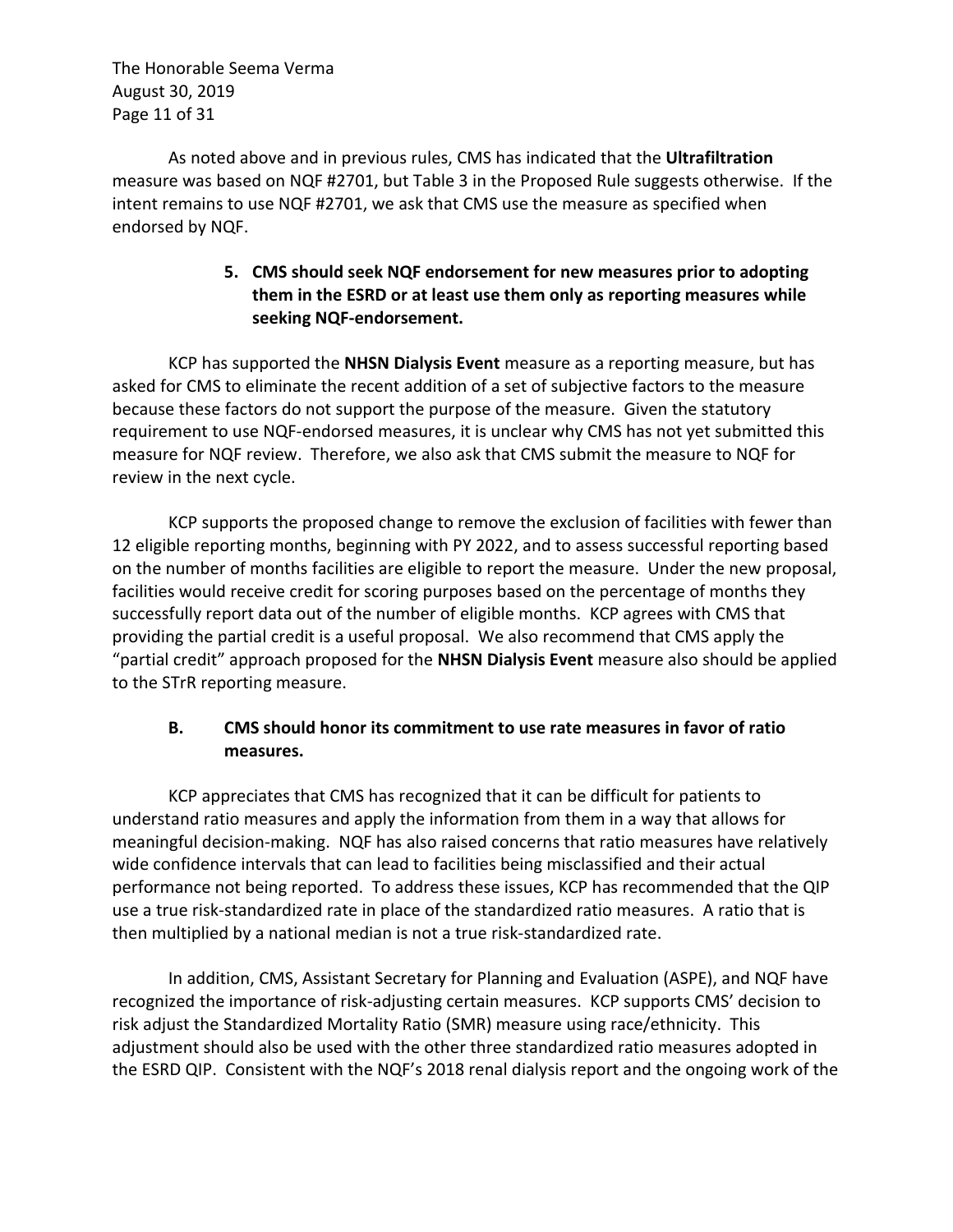The Honorable Seema Verma August 30, 2019 Page 11 of 31

As noted above and in previous rules, CMS has indicated that the **Ultrafiltration** measure was based on NQF #2701, but Table 3 in the Proposed Rule suggests otherwise. If the intent remains to use NQF #2701, we ask that CMS use the measure as specified when endorsed by NQF.

### **5. CMS should seek NQF endorsement for new measures prior to adopting them in the ESRD or at least use them only as reporting measures while seeking NQF-endorsement.**

KCP has supported the **NHSN Dialysis Event** measure as a reporting measure, but has asked for CMS to eliminate the recent addition of a set of subjective factors to the measure because these factors do not support the purpose of the measure. Given the statutory requirement to use NQF-endorsed measures, it is unclear why CMS has not yet submitted this measure for NQF review. Therefore, we also ask that CMS submit the measure to NQF for review in the next cycle.

KCP supports the proposed change to remove the exclusion of facilities with fewer than 12 eligible reporting months, beginning with PY 2022, and to assess successful reporting based on the number of months facilities are eligible to report the measure. Under the new proposal, facilities would receive credit for scoring purposes based on the percentage of months they successfully report data out of the number of eligible months. KCP agrees with CMS that providing the partial credit is a useful proposal. We also recommend that CMS apply the "partial credit" approach proposed for the **NHSN Dialysis Event** measure also should be applied to the STrR reporting measure.

### **B. CMS should honor its commitment to use rate measures in favor of ratio measures.**

KCP appreciates that CMS has recognized that it can be difficult for patients to understand ratio measures and apply the information from them in a way that allows for meaningful decision-making. NQF has also raised concerns that ratio measures have relatively wide confidence intervals that can lead to facilities being misclassified and their actual performance not being reported. To address these issues, KCP has recommended that the QIP use a true risk-standardized rate in place of the standardized ratio measures. A ratio that is then multiplied by a national median is not a true risk-standardized rate.

In addition, CMS, Assistant Secretary for Planning and Evaluation (ASPE), and NQF have recognized the importance of risk-adjusting certain measures. KCP supports CMS' decision to risk adjust the Standardized Mortality Ratio (SMR) measure using race/ethnicity. This adjustment should also be used with the other three standardized ratio measures adopted in the ESRD QIP. Consistent with the NQF's 2018 renal dialysis report and the ongoing work of the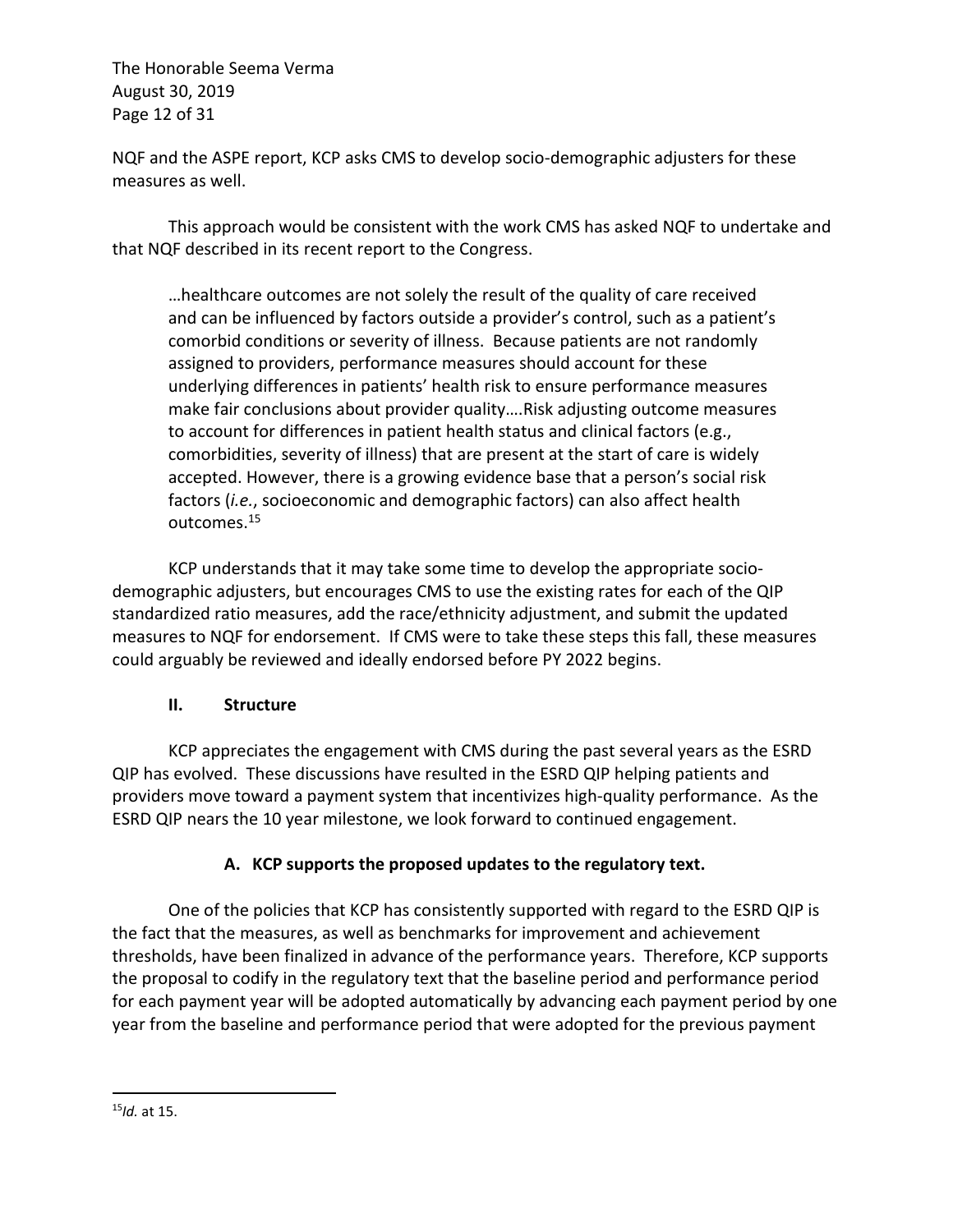The Honorable Seema Verma August 30, 2019 Page 12 of 31

NQF and the ASPE report, KCP asks CMS to develop socio-demographic adjusters for these measures as well.

This approach would be consistent with the work CMS has asked NQF to undertake and that NQF described in its recent report to the Congress.

…healthcare outcomes are not solely the result of the quality of care received and can be influenced by factors outside a provider's control, such as a patient's comorbid conditions or severity of illness. Because patients are not randomly assigned to providers, performance measures should account for these underlying differences in patients' health risk to ensure performance measures make fair conclusions about provider quality….Risk adjusting outcome measures to account for differences in patient health status and clinical factors (e.g., comorbidities, severity of illness) that are present at the start of care is widely accepted. However, there is a growing evidence base that a person's social risk factors (*i.e.*, socioeconomic and demographic factors) can also affect health outcomes.15

KCP understands that it may take some time to develop the appropriate sociodemographic adjusters, but encourages CMS to use the existing rates for each of the QIP standardized ratio measures, add the race/ethnicity adjustment, and submit the updated measures to NQF for endorsement. If CMS were to take these steps this fall, these measures could arguably be reviewed and ideally endorsed before PY 2022 begins.

#### **II. Structure**

KCP appreciates the engagement with CMS during the past several years as the ESRD QIP has evolved. These discussions have resulted in the ESRD QIP helping patients and providers move toward a payment system that incentivizes high-quality performance. As the ESRD QIP nears the 10 year milestone, we look forward to continued engagement.

## **A. KCP supports the proposed updates to the regulatory text.**

One of the policies that KCP has consistently supported with regard to the ESRD QIP is the fact that the measures, as well as benchmarks for improvement and achievement thresholds, have been finalized in advance of the performance years. Therefore, KCP supports the proposal to codify in the regulatory text that the baseline period and performance period for each payment year will be adopted automatically by advancing each payment period by one year from the baseline and performance period that were adopted for the previous payment

<sup>15</sup>*Id.* at 15.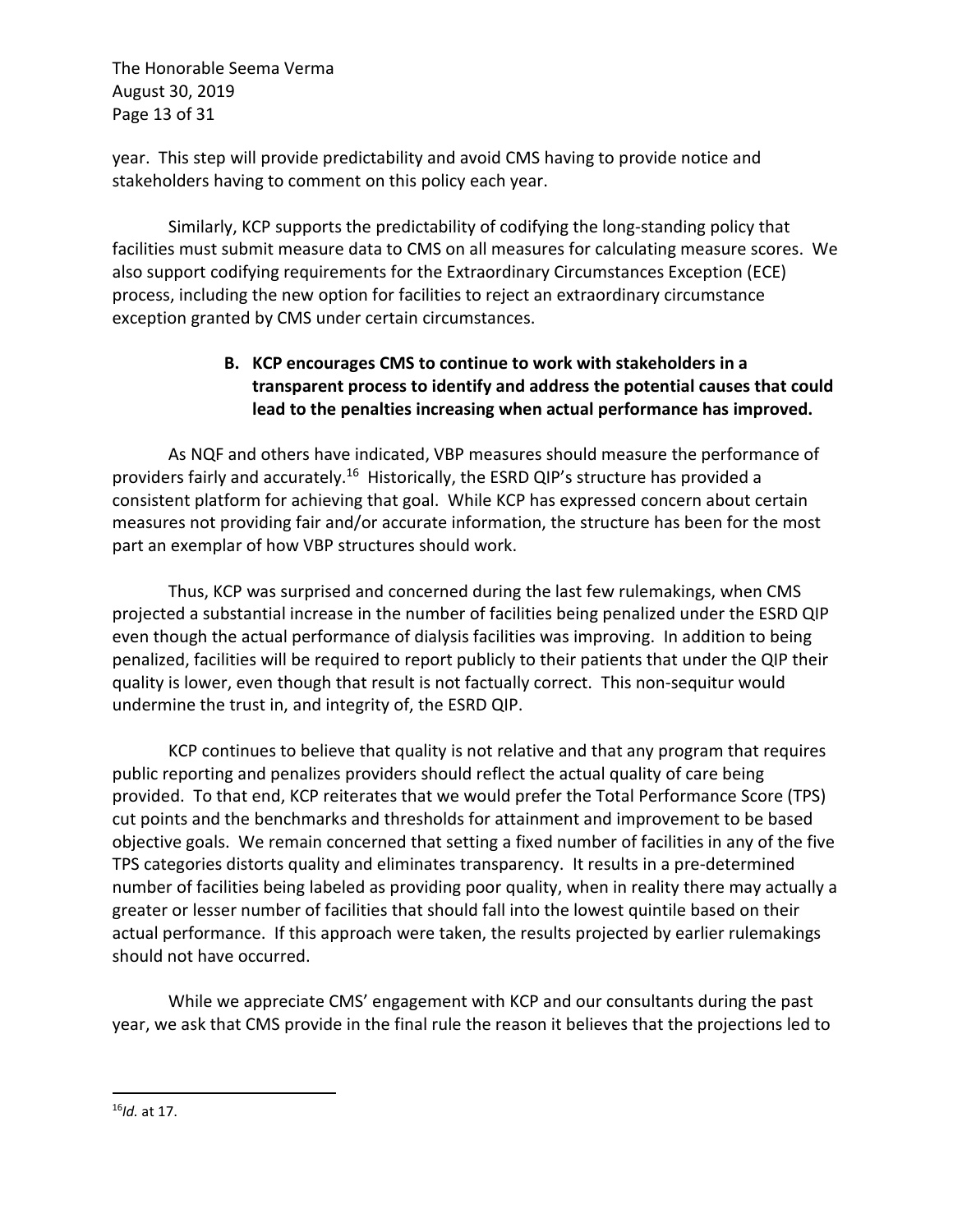The Honorable Seema Verma August 30, 2019 Page 13 of 31

year. This step will provide predictability and avoid CMS having to provide notice and stakeholders having to comment on this policy each year.

Similarly, KCP supports the predictability of codifying the long-standing policy that facilities must submit measure data to CMS on all measures for calculating measure scores. We also support codifying requirements for the Extraordinary Circumstances Exception (ECE) process, including the new option for facilities to reject an extraordinary circumstance exception granted by CMS under certain circumstances.

## **B. KCP encourages CMS to continue to work with stakeholders in a transparent process to identify and address the potential causes that could lead to the penalties increasing when actual performance has improved.**

As NQF and others have indicated, VBP measures should measure the performance of providers fairly and accurately.16 Historically, the ESRD QIP's structure has provided a consistent platform for achieving that goal. While KCP has expressed concern about certain measures not providing fair and/or accurate information, the structure has been for the most part an exemplar of how VBP structures should work.

Thus, KCP was surprised and concerned during the last few rulemakings, when CMS projected a substantial increase in the number of facilities being penalized under the ESRD QIP even though the actual performance of dialysis facilities was improving. In addition to being penalized, facilities will be required to report publicly to their patients that under the QIP their quality is lower, even though that result is not factually correct. This non-sequitur would undermine the trust in, and integrity of, the ESRD QIP.

KCP continues to believe that quality is not relative and that any program that requires public reporting and penalizes providers should reflect the actual quality of care being provided. To that end, KCP reiterates that we would prefer the Total Performance Score (TPS) cut points and the benchmarks and thresholds for attainment and improvement to be based objective goals. We remain concerned that setting a fixed number of facilities in any of the five TPS categories distorts quality and eliminates transparency. It results in a pre-determined number of facilities being labeled as providing poor quality, when in reality there may actually a greater or lesser number of facilities that should fall into the lowest quintile based on their actual performance. If this approach were taken, the results projected by earlier rulemakings should not have occurred.

While we appreciate CMS' engagement with KCP and our consultants during the past year, we ask that CMS provide in the final rule the reason it believes that the projections led to

<sup>16</sup>*Id.* at 17.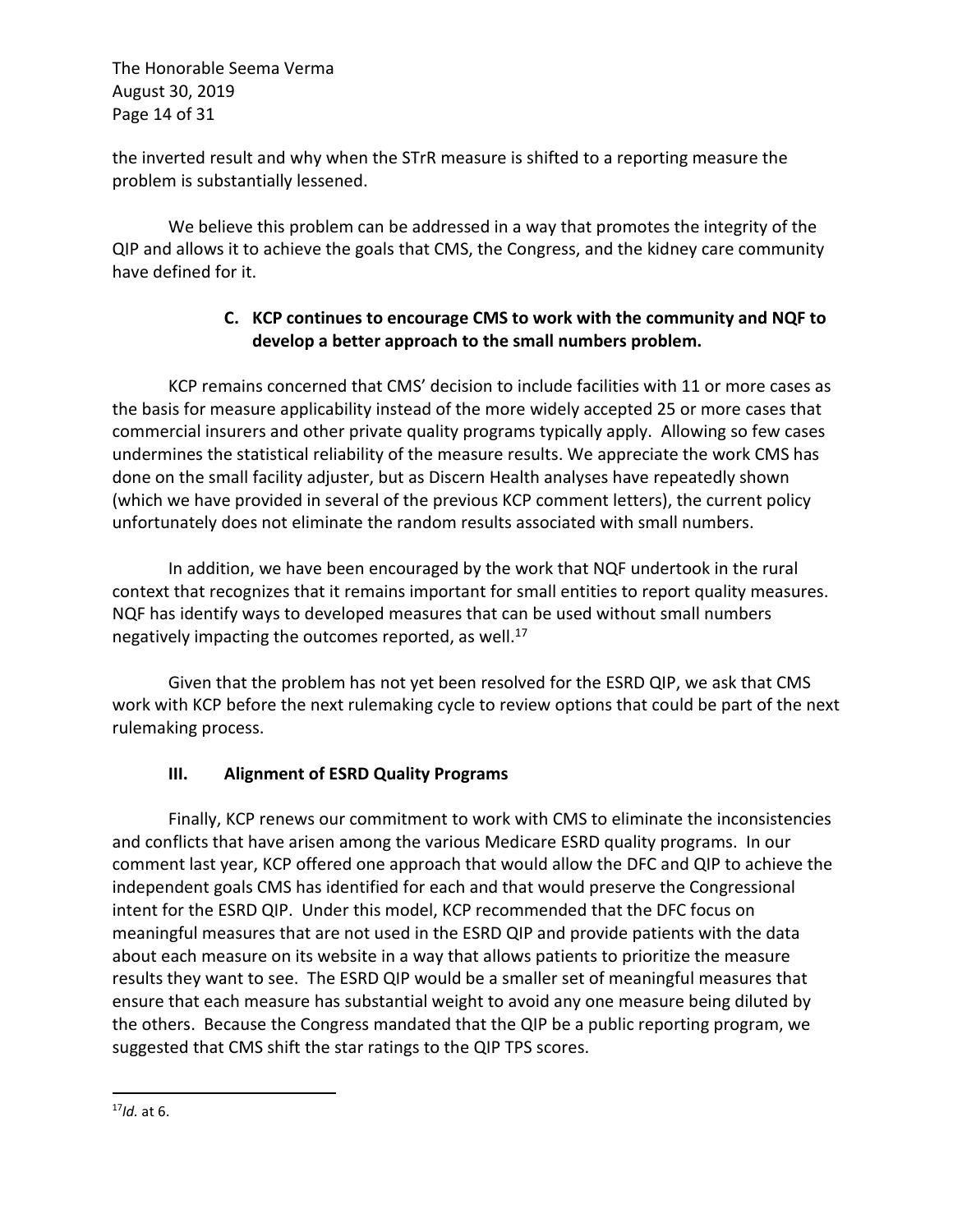The Honorable Seema Verma August 30, 2019 Page 14 of 31

the inverted result and why when the STrR measure is shifted to a reporting measure the problem is substantially lessened.

We believe this problem can be addressed in a way that promotes the integrity of the QIP and allows it to achieve the goals that CMS, the Congress, and the kidney care community have defined for it.

## **C. KCP continues to encourage CMS to work with the community and NQF to develop a better approach to the small numbers problem.**

KCP remains concerned that CMS' decision to include facilities with 11 or more cases as the basis for measure applicability instead of the more widely accepted 25 or more cases that commercial insurers and other private quality programs typically apply. Allowing so few cases undermines the statistical reliability of the measure results. We appreciate the work CMS has done on the small facility adjuster, but as Discern Health analyses have repeatedly shown (which we have provided in several of the previous KCP comment letters), the current policy unfortunately does not eliminate the random results associated with small numbers.

In addition, we have been encouraged by the work that NQF undertook in the rural context that recognizes that it remains important for small entities to report quality measures. NQF has identify ways to developed measures that can be used without small numbers negatively impacting the outcomes reported, as well.<sup>17</sup>

Given that the problem has not yet been resolved for the ESRD QIP, we ask that CMS work with KCP before the next rulemaking cycle to review options that could be part of the next rulemaking process.

## **III. Alignment of ESRD Quality Programs**

Finally, KCP renews our commitment to work with CMS to eliminate the inconsistencies and conflicts that have arisen among the various Medicare ESRD quality programs. In our comment last year, KCP offered one approach that would allow the DFC and QIP to achieve the independent goals CMS has identified for each and that would preserve the Congressional intent for the ESRD QIP. Under this model, KCP recommended that the DFC focus on meaningful measures that are not used in the ESRD QIP and provide patients with the data about each measure on its website in a way that allows patients to prioritize the measure results they want to see. The ESRD QIP would be a smaller set of meaningful measures that ensure that each measure has substantial weight to avoid any one measure being diluted by the others. Because the Congress mandated that the QIP be a public reporting program, we suggested that CMS shift the star ratings to the QIP TPS scores.

<sup>17</sup>*Id.* at 6.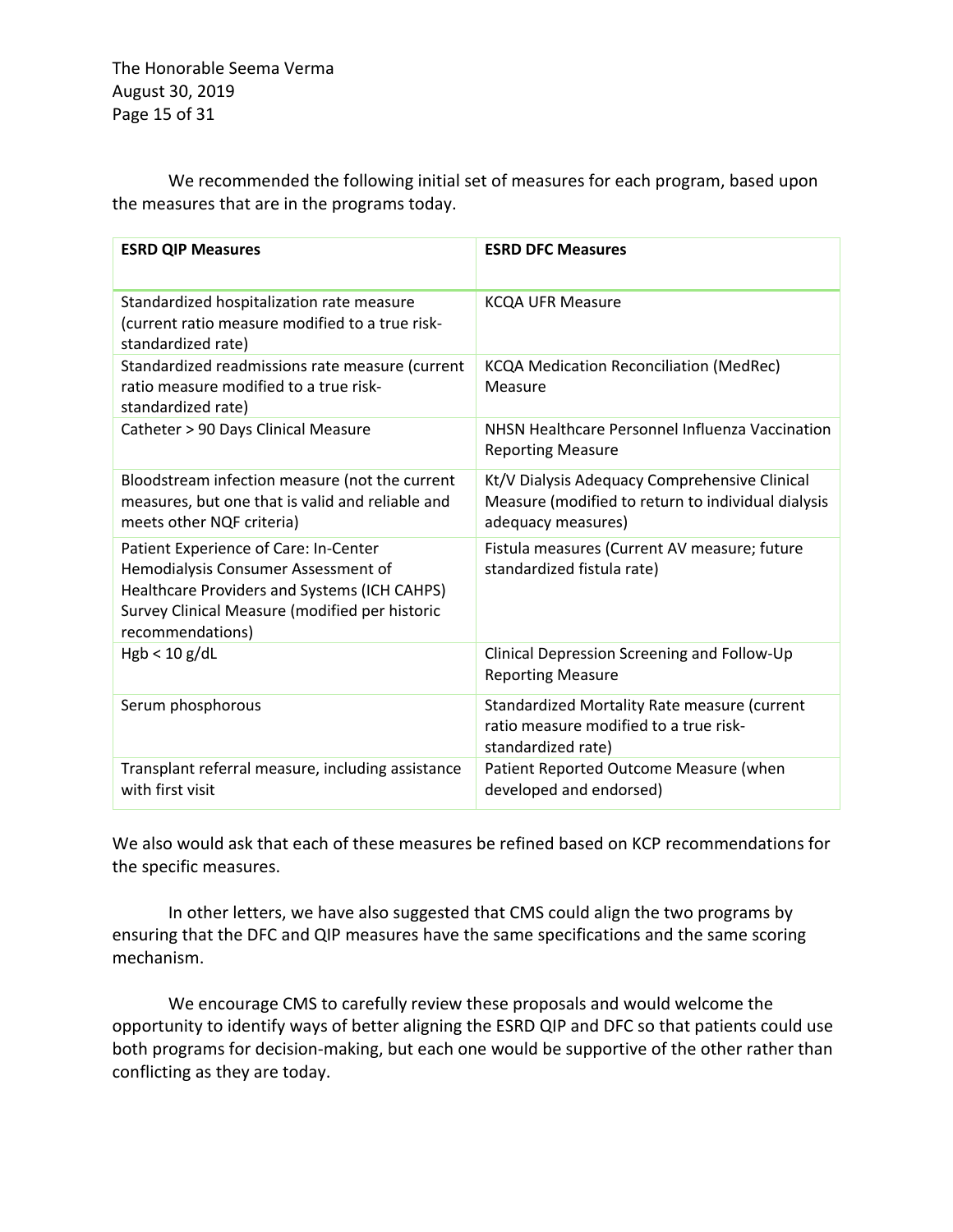The Honorable Seema Verma August 30, 2019 Page 15 of 31

We recommended the following initial set of measures for each program, based upon the measures that are in the programs today.

| <b>ESRD QIP Measures</b>                                                                                                                                                                           | <b>ESRD DFC Measures</b>                                                                                                  |
|----------------------------------------------------------------------------------------------------------------------------------------------------------------------------------------------------|---------------------------------------------------------------------------------------------------------------------------|
| Standardized hospitalization rate measure<br>(current ratio measure modified to a true risk-<br>standardized rate)                                                                                 | <b>KCQA UFR Measure</b>                                                                                                   |
| Standardized readmissions rate measure (current<br>ratio measure modified to a true risk-<br>standardized rate)                                                                                    | <b>KCQA Medication Reconciliation (MedRec)</b><br>Measure                                                                 |
| Catheter > 90 Days Clinical Measure                                                                                                                                                                | NHSN Healthcare Personnel Influenza Vaccination<br><b>Reporting Measure</b>                                               |
| Bloodstream infection measure (not the current<br>measures, but one that is valid and reliable and<br>meets other NQF criteria)                                                                    | Kt/V Dialysis Adequacy Comprehensive Clinical<br>Measure (modified to return to individual dialysis<br>adequacy measures) |
| Patient Experience of Care: In-Center<br>Hemodialysis Consumer Assessment of<br>Healthcare Providers and Systems (ICH CAHPS)<br>Survey Clinical Measure (modified per historic<br>recommendations) | Fistula measures (Current AV measure; future<br>standardized fistula rate)                                                |
| Hgb < 10 g/dL                                                                                                                                                                                      | Clinical Depression Screening and Follow-Up<br><b>Reporting Measure</b>                                                   |
| Serum phosphorous                                                                                                                                                                                  | Standardized Mortality Rate measure (current<br>ratio measure modified to a true risk-<br>standardized rate)              |
| Transplant referral measure, including assistance<br>with first visit                                                                                                                              | Patient Reported Outcome Measure (when<br>developed and endorsed)                                                         |

We also would ask that each of these measures be refined based on KCP recommendations for the specific measures.

In other letters, we have also suggested that CMS could align the two programs by ensuring that the DFC and QIP measures have the same specifications and the same scoring mechanism.

We encourage CMS to carefully review these proposals and would welcome the opportunity to identify ways of better aligning the ESRD QIP and DFC so that patients could use both programs for decision-making, but each one would be supportive of the other rather than conflicting as they are today.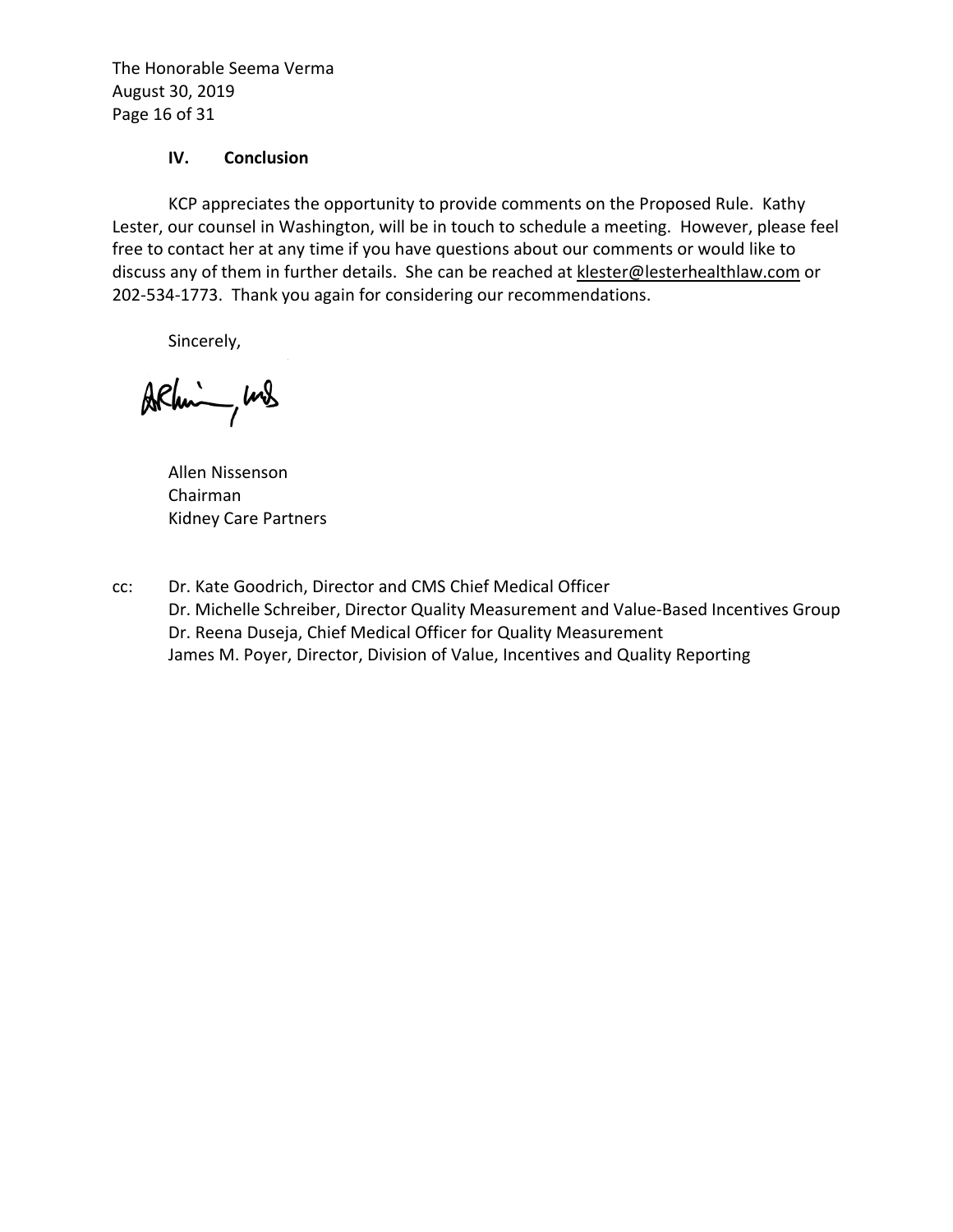The Honorable Seema Verma August 30, 2019 Page 16 of 31

#### **IV. Conclusion**

KCP appreciates the opportunity to provide comments on the Proposed Rule. Kathy Lester, our counsel in Washington, will be in touch to schedule a meeting. However, please feel free to contact her at any time if you have questions about our comments or would like to discuss any of them in further details. She can be reached at klester@lesterhealthlaw.com or 202-534-1773. Thank you again for considering our recommendations.

Sincerely,

Arhim, und

Allen Nissenson Chairman Kidney Care Partners

cc: Dr. Kate Goodrich, Director and CMS Chief Medical Officer Dr. Michelle Schreiber, Director Quality Measurement and Value-Based Incentives Group Dr. Reena Duseja, Chief Medical Officer for Quality Measurement James M. Poyer, Director, Division of Value, Incentives and Quality Reporting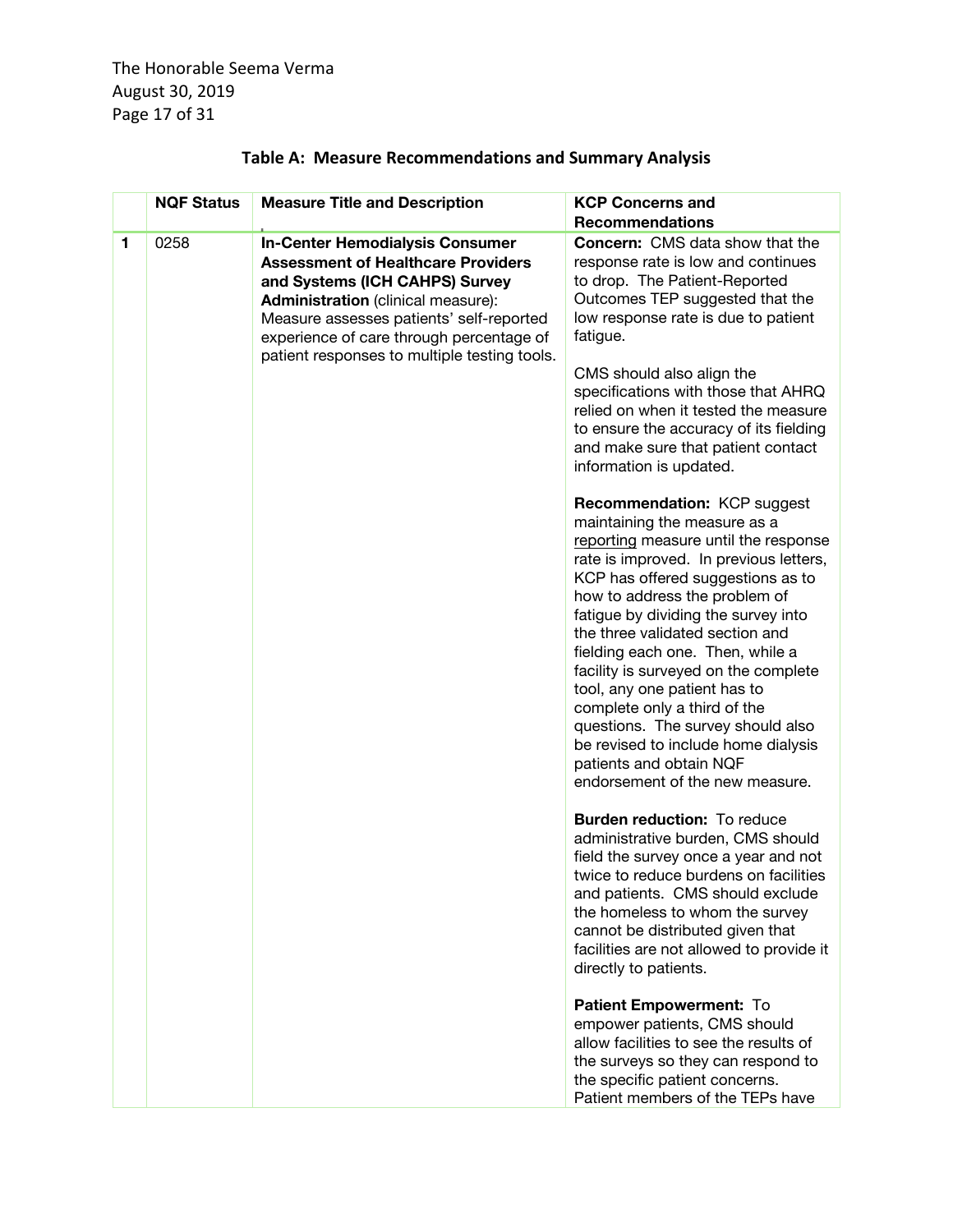The Honorable Seema Verma August 30, 2019 Page 17 of 31

|   | <b>NQF Status</b> | <b>Measure Title and Description</b>                                                                                                                                                                                                                                                                       | <b>KCP Concerns and</b><br><b>Recommendations</b>                                                                                                                                                                                                                                                                                                                                                                                                                                                                                                                                   |
|---|-------------------|------------------------------------------------------------------------------------------------------------------------------------------------------------------------------------------------------------------------------------------------------------------------------------------------------------|-------------------------------------------------------------------------------------------------------------------------------------------------------------------------------------------------------------------------------------------------------------------------------------------------------------------------------------------------------------------------------------------------------------------------------------------------------------------------------------------------------------------------------------------------------------------------------------|
| 1 | 0258              | <b>In-Center Hemodialysis Consumer</b><br><b>Assessment of Healthcare Providers</b><br>and Systems (ICH CAHPS) Survey<br><b>Administration</b> (clinical measure):<br>Measure assesses patients' self-reported<br>experience of care through percentage of<br>patient responses to multiple testing tools. | <b>Concern:</b> CMS data show that the<br>response rate is low and continues<br>to drop. The Patient-Reported<br>Outcomes TEP suggested that the<br>low response rate is due to patient<br>fatigue.<br>CMS should also align the<br>specifications with those that AHRQ<br>relied on when it tested the measure<br>to ensure the accuracy of its fielding<br>and make sure that patient contact<br>information is updated.                                                                                                                                                          |
|   |                   |                                                                                                                                                                                                                                                                                                            | Recommendation: KCP suggest<br>maintaining the measure as a<br>reporting measure until the response<br>rate is improved. In previous letters,<br>KCP has offered suggestions as to<br>how to address the problem of<br>fatigue by dividing the survey into<br>the three validated section and<br>fielding each one. Then, while a<br>facility is surveyed on the complete<br>tool, any one patient has to<br>complete only a third of the<br>questions. The survey should also<br>be revised to include home dialysis<br>patients and obtain NQF<br>endorsement of the new measure. |
|   |                   |                                                                                                                                                                                                                                                                                                            | <b>Burden reduction:</b> To reduce<br>administrative burden, CMS should<br>field the survey once a year and not<br>twice to reduce burdens on facilities<br>and patients. CMS should exclude<br>the homeless to whom the survey<br>cannot be distributed given that<br>facilities are not allowed to provide it<br>directly to patients.                                                                                                                                                                                                                                            |
|   |                   |                                                                                                                                                                                                                                                                                                            | Patient Empowerment: To<br>empower patients, CMS should<br>allow facilities to see the results of<br>the surveys so they can respond to<br>the specific patient concerns.<br>Patient members of the TEPs have                                                                                                                                                                                                                                                                                                                                                                       |

# **Table A: Measure Recommendations and Summary Analysis**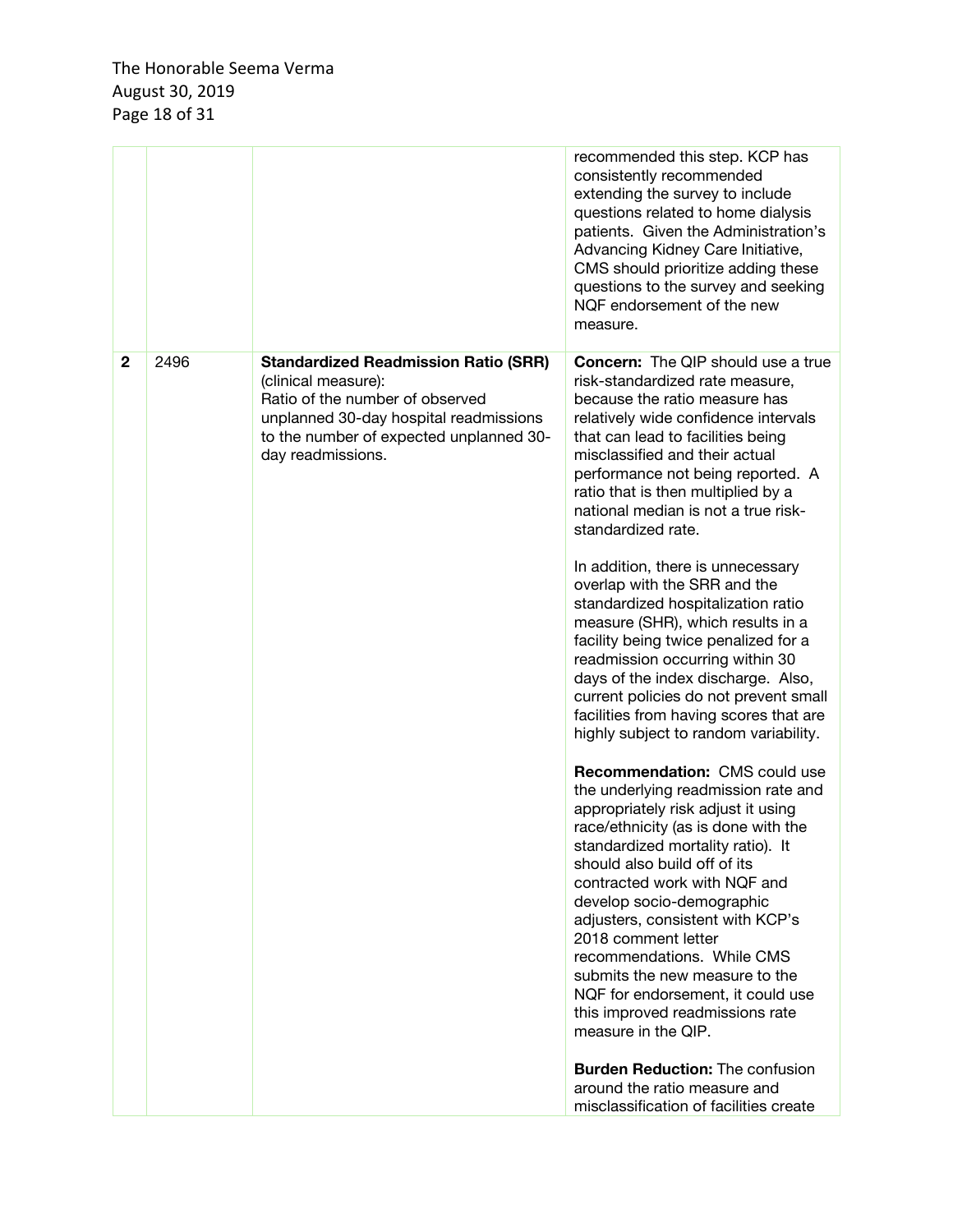|              |      |                                                                                                                                                                                                                 | recommended this step. KCP has<br>consistently recommended<br>extending the survey to include<br>questions related to home dialysis<br>patients. Given the Administration's<br>Advancing Kidney Care Initiative,<br>CMS should prioritize adding these<br>questions to the survey and seeking<br>NQF endorsement of the new<br>measure.                                                                                                                                                                                                                                                                                                                                                                                                                                                                                                                                                                                                                                                                                                                                                                                                                                                                                                                                                                                                                                                                |
|--------------|------|-----------------------------------------------------------------------------------------------------------------------------------------------------------------------------------------------------------------|--------------------------------------------------------------------------------------------------------------------------------------------------------------------------------------------------------------------------------------------------------------------------------------------------------------------------------------------------------------------------------------------------------------------------------------------------------------------------------------------------------------------------------------------------------------------------------------------------------------------------------------------------------------------------------------------------------------------------------------------------------------------------------------------------------------------------------------------------------------------------------------------------------------------------------------------------------------------------------------------------------------------------------------------------------------------------------------------------------------------------------------------------------------------------------------------------------------------------------------------------------------------------------------------------------------------------------------------------------------------------------------------------------|
| $\mathbf{2}$ | 2496 | <b>Standardized Readmission Ratio (SRR)</b><br>(clinical measure):<br>Ratio of the number of observed<br>unplanned 30-day hospital readmissions<br>to the number of expected unplanned 30-<br>day readmissions. | <b>Concern:</b> The QIP should use a true<br>risk-standardized rate measure,<br>because the ratio measure has<br>relatively wide confidence intervals<br>that can lead to facilities being<br>misclassified and their actual<br>performance not being reported. A<br>ratio that is then multiplied by a<br>national median is not a true risk-<br>standardized rate.<br>In addition, there is unnecessary<br>overlap with the SRR and the<br>standardized hospitalization ratio<br>measure (SHR), which results in a<br>facility being twice penalized for a<br>readmission occurring within 30<br>days of the index discharge. Also,<br>current policies do not prevent small<br>facilities from having scores that are<br>highly subject to random variability.<br>Recommendation: CMS could use<br>the underlying readmission rate and<br>appropriately risk adjust it using<br>race/ethnicity (as is done with the<br>standardized mortality ratio). It<br>should also build off of its<br>contracted work with NQF and<br>develop socio-demographic<br>adjusters, consistent with KCP's<br>2018 comment letter<br>recommendations. While CMS<br>submits the new measure to the<br>NQF for endorsement, it could use<br>this improved readmissions rate<br>measure in the QIP.<br><b>Burden Reduction: The confusion</b><br>around the ratio measure and<br>misclassification of facilities create |
|              |      |                                                                                                                                                                                                                 |                                                                                                                                                                                                                                                                                                                                                                                                                                                                                                                                                                                                                                                                                                                                                                                                                                                                                                                                                                                                                                                                                                                                                                                                                                                                                                                                                                                                        |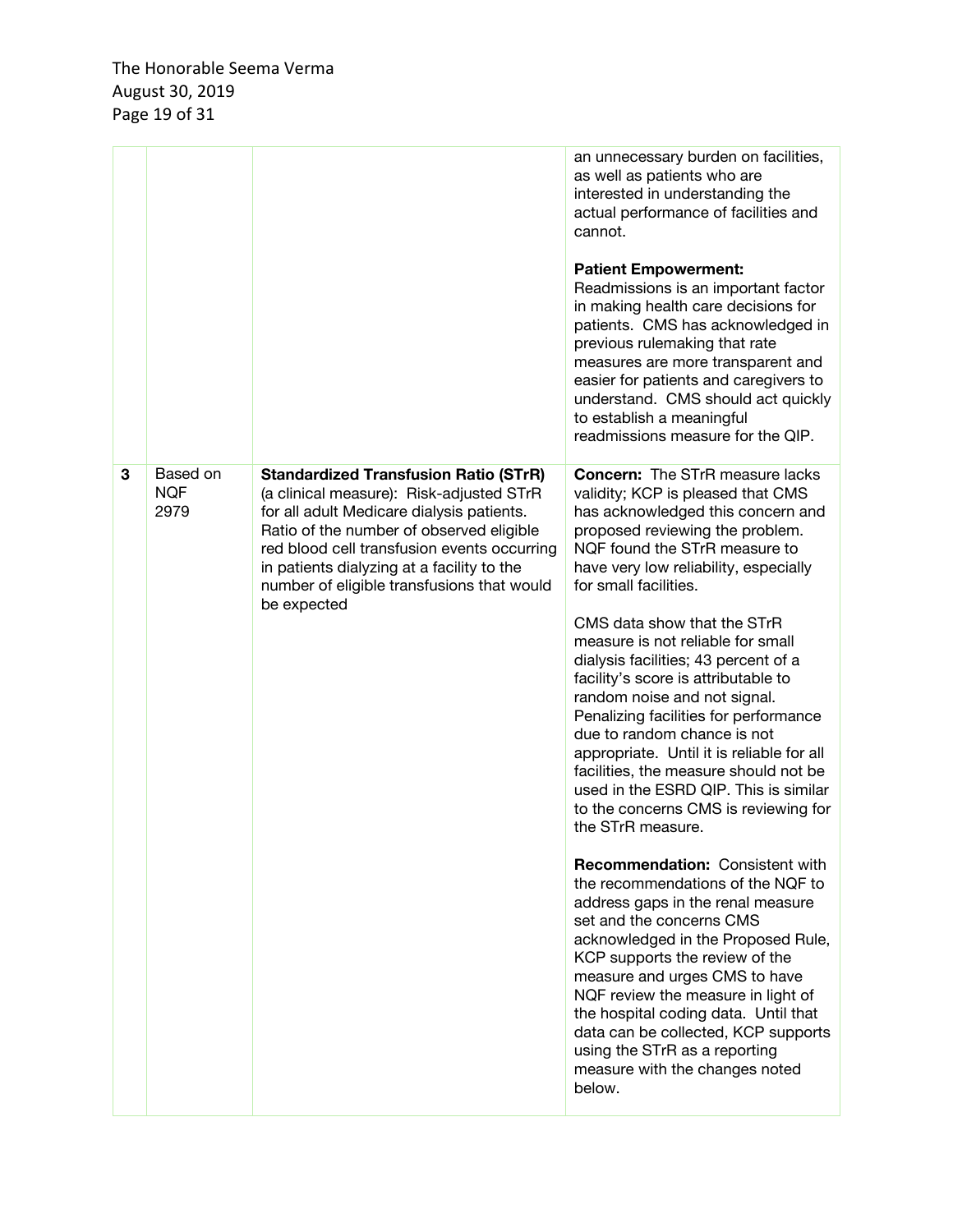|   |                                |                                                                                                                                                                                                                                                                                                                                             | an unnecessary burden on facilities,<br>as well as patients who are<br>interested in understanding the<br>actual performance of facilities and<br>cannot.<br><b>Patient Empowerment:</b><br>Readmissions is an important factor<br>in making health care decisions for<br>patients. CMS has acknowledged in<br>previous rulemaking that rate<br>measures are more transparent and<br>easier for patients and caregivers to<br>understand. CMS should act quickly<br>to establish a meaningful<br>readmissions measure for the QIP.                                                                                                                                                                                                                                                                                                                                                                                                                                                                                                                                                                                                                                       |
|---|--------------------------------|---------------------------------------------------------------------------------------------------------------------------------------------------------------------------------------------------------------------------------------------------------------------------------------------------------------------------------------------|--------------------------------------------------------------------------------------------------------------------------------------------------------------------------------------------------------------------------------------------------------------------------------------------------------------------------------------------------------------------------------------------------------------------------------------------------------------------------------------------------------------------------------------------------------------------------------------------------------------------------------------------------------------------------------------------------------------------------------------------------------------------------------------------------------------------------------------------------------------------------------------------------------------------------------------------------------------------------------------------------------------------------------------------------------------------------------------------------------------------------------------------------------------------------|
| 3 | Based on<br><b>NQF</b><br>2979 | <b>Standardized Transfusion Ratio (STrR)</b><br>(a clinical measure): Risk-adjusted STrR<br>for all adult Medicare dialysis patients.<br>Ratio of the number of observed eligible<br>red blood cell transfusion events occurring<br>in patients dialyzing at a facility to the<br>number of eligible transfusions that would<br>be expected | <b>Concern:</b> The STrR measure lacks<br>validity; KCP is pleased that CMS<br>has acknowledged this concern and<br>proposed reviewing the problem.<br>NQF found the STrR measure to<br>have very low reliability, especially<br>for small facilities.<br>CMS data show that the STrR<br>measure is not reliable for small<br>dialysis facilities; 43 percent of a<br>facility's score is attributable to<br>random noise and not signal.<br>Penalizing facilities for performance<br>due to random chance is not<br>appropriate. Until it is reliable for all<br>facilities, the measure should not be<br>used in the ESRD QIP. This is similar<br>to the concerns CMS is reviewing for<br>the STrR measure.<br><b>Recommendation: Consistent with</b><br>the recommendations of the NQF to<br>address gaps in the renal measure<br>set and the concerns CMS<br>acknowledged in the Proposed Rule,<br>KCP supports the review of the<br>measure and urges CMS to have<br>NQF review the measure in light of<br>the hospital coding data. Until that<br>data can be collected, KCP supports<br>using the STrR as a reporting<br>measure with the changes noted<br>below. |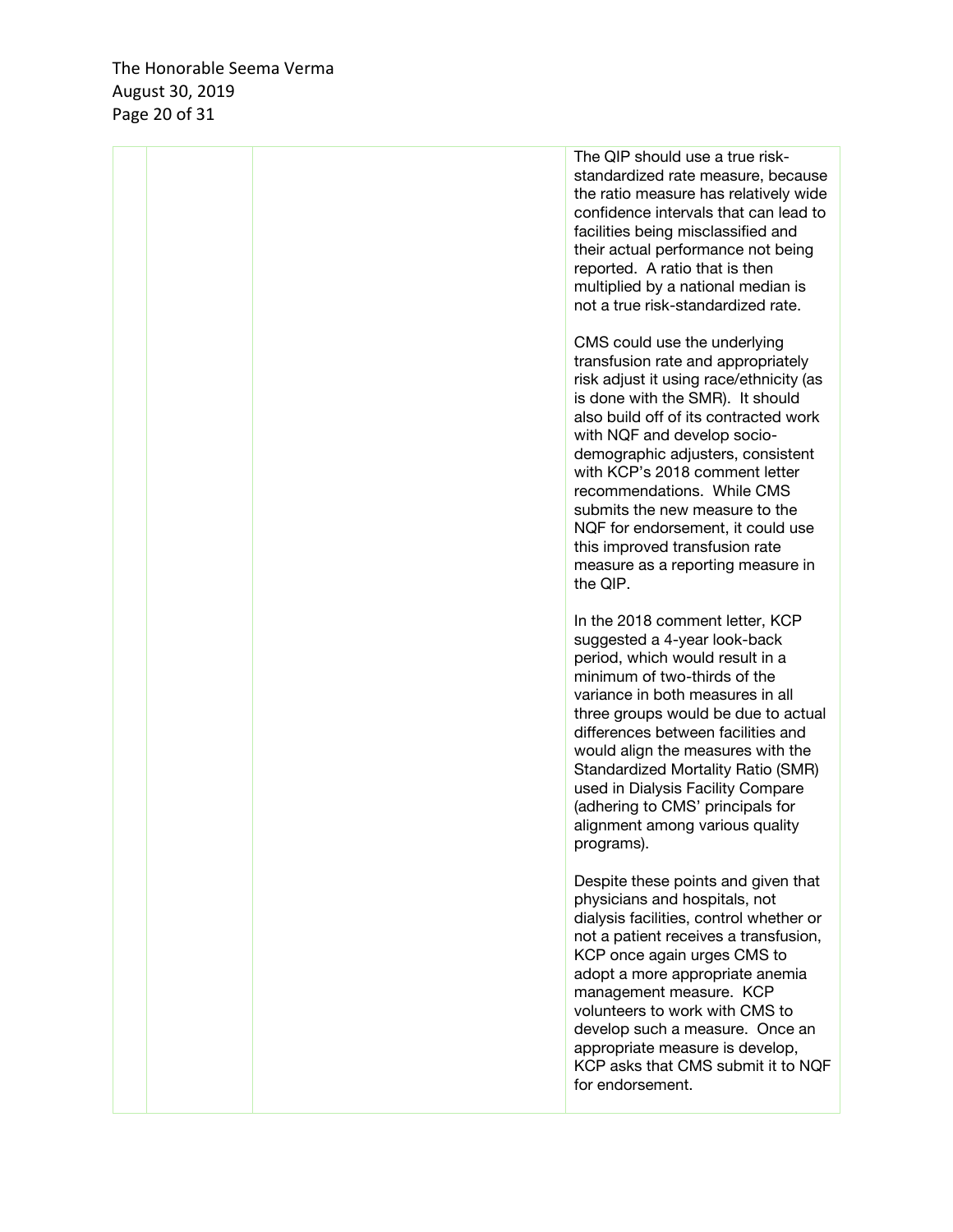The Honorable Seema Verma August 30 , 2019 Page 20 of 31

|  | The QIP should use a true risk-<br>standardized rate measure, because<br>the ratio measure has relatively wide<br>confidence intervals that can lead to<br>facilities being misclassified and<br>their actual performance not being<br>reported. A ratio that is then<br>multiplied by a national median is<br>not a true risk-standardized rate.                                                                                                                                        |
|--|------------------------------------------------------------------------------------------------------------------------------------------------------------------------------------------------------------------------------------------------------------------------------------------------------------------------------------------------------------------------------------------------------------------------------------------------------------------------------------------|
|  | CMS could use the underlying<br>transfusion rate and appropriately<br>risk adjust it using race/ethnicity (as<br>is done with the SMR). It should<br>also build off of its contracted work<br>with NQF and develop socio-<br>demographic adjusters, consistent<br>with KCP's 2018 comment letter<br>recommendations. While CMS<br>submits the new measure to the<br>NQF for endorsement, it could use<br>this improved transfusion rate<br>measure as a reporting measure in<br>the QIP. |
|  | In the 2018 comment letter, KCP<br>suggested a 4-year look-back<br>period, which would result in a<br>minimum of two-thirds of the<br>variance in both measures in all<br>three groups would be due to actual<br>differences between facilities and<br>would align the measures with the<br>Standardized Mortality Ratio (SMR)<br>used in Dialysis Facility Compare<br>(adhering to CMS' principals for<br>alignment among various quality<br>programs).                                 |
|  | Despite these points and given that<br>physicians and hospitals, not<br>dialysis facilities, control whether or<br>not a patient receives a transfusion,<br>KCP once again urges CMS to<br>adopt a more appropriate anemia<br>management measure. KCP<br>volunteers to work with CMS to<br>develop such a measure. Once an<br>appropriate measure is develop,<br>KCP asks that CMS submit it to NQF<br>for endorsement.                                                                  |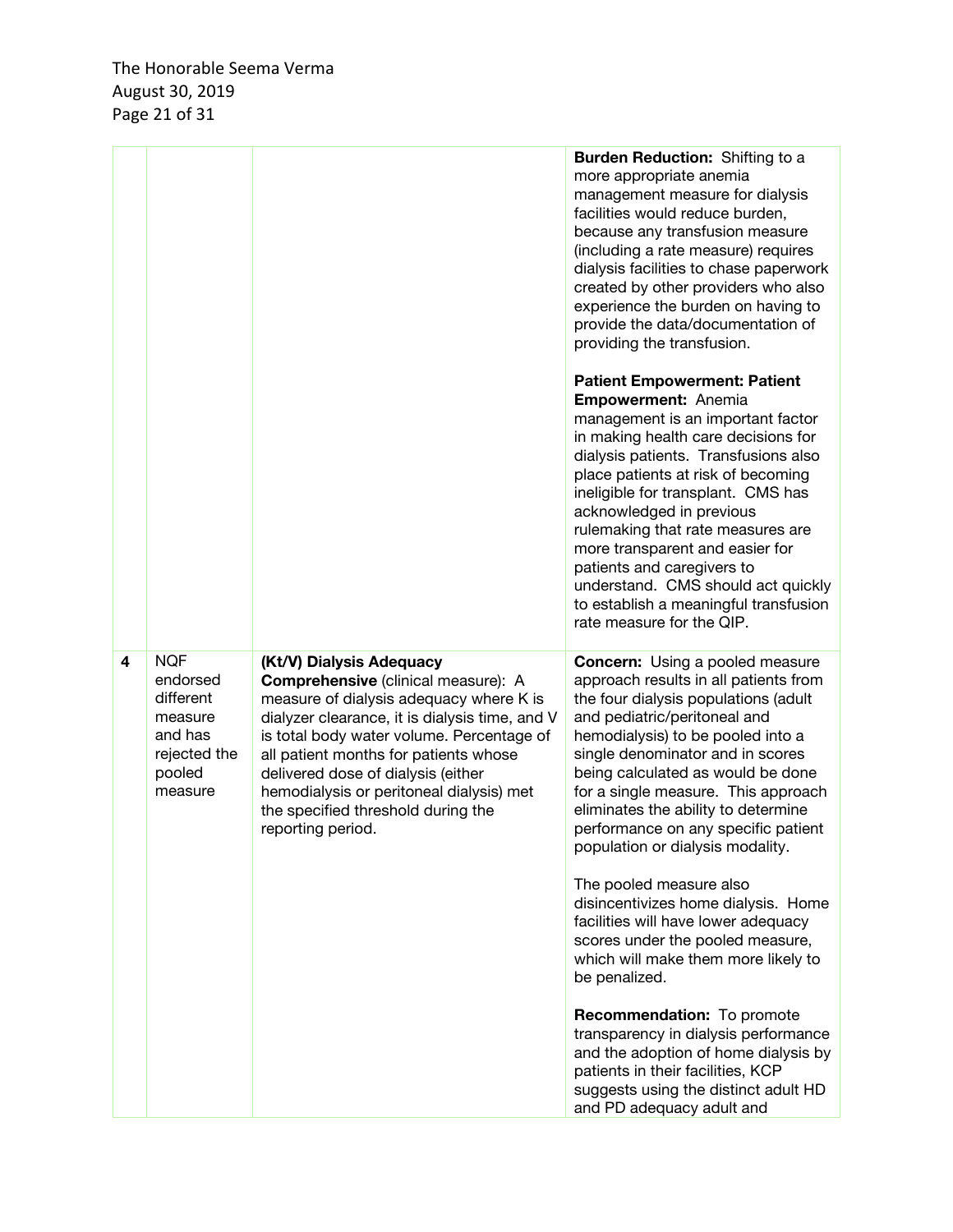|   |                                                                                                |                                                                                                                                                                                                                                                                                                                                                                                                 | Burden Reduction: Shifting to a<br>more appropriate anemia<br>management measure for dialysis<br>facilities would reduce burden,<br>because any transfusion measure<br>(including a rate measure) requires<br>dialysis facilities to chase paperwork<br>created by other providers who also<br>experience the burden on having to<br>provide the data/documentation of<br>providing the transfusion.                                                                                                                                                                        |
|---|------------------------------------------------------------------------------------------------|-------------------------------------------------------------------------------------------------------------------------------------------------------------------------------------------------------------------------------------------------------------------------------------------------------------------------------------------------------------------------------------------------|-----------------------------------------------------------------------------------------------------------------------------------------------------------------------------------------------------------------------------------------------------------------------------------------------------------------------------------------------------------------------------------------------------------------------------------------------------------------------------------------------------------------------------------------------------------------------------|
|   |                                                                                                |                                                                                                                                                                                                                                                                                                                                                                                                 | <b>Patient Empowerment: Patient</b><br>Empowerment: Anemia<br>management is an important factor<br>in making health care decisions for<br>dialysis patients. Transfusions also<br>place patients at risk of becoming<br>ineligible for transplant. CMS has<br>acknowledged in previous<br>rulemaking that rate measures are<br>more transparent and easier for<br>patients and caregivers to<br>understand. CMS should act quickly<br>to establish a meaningful transfusion<br>rate measure for the QIP.                                                                    |
| 4 | <b>NQF</b><br>endorsed<br>different<br>measure<br>and has<br>rejected the<br>pooled<br>measure | (Kt/V) Dialysis Adequacy<br>Comprehensive (clinical measure): A<br>measure of dialysis adequacy where K is<br>dialyzer clearance, it is dialysis time, and V<br>is total body water volume. Percentage of<br>all patient months for patients whose<br>delivered dose of dialysis (either<br>hemodialysis or peritoneal dialysis) met<br>the specified threshold during the<br>reporting period. | <b>Concern:</b> Using a pooled measure<br>approach results in all patients from<br>the four dialysis populations (adult<br>and pediatric/peritoneal and<br>hemodialysis) to be pooled into a<br>single denominator and in scores<br>being calculated as would be done<br>for a single measure. This approach<br>eliminates the ability to determine<br>performance on any specific patient<br>population or dialysis modality.<br>The pooled measure also<br>disincentivizes home dialysis. Home<br>facilities will have lower adequacy<br>scores under the pooled measure, |
|   |                                                                                                |                                                                                                                                                                                                                                                                                                                                                                                                 | which will make them more likely to<br>be penalized.<br>Recommendation: To promote<br>transparency in dialysis performance<br>and the adoption of home dialysis by<br>patients in their facilities, KCP<br>suggests using the distinct adult HD<br>and PD adequacy adult and                                                                                                                                                                                                                                                                                                |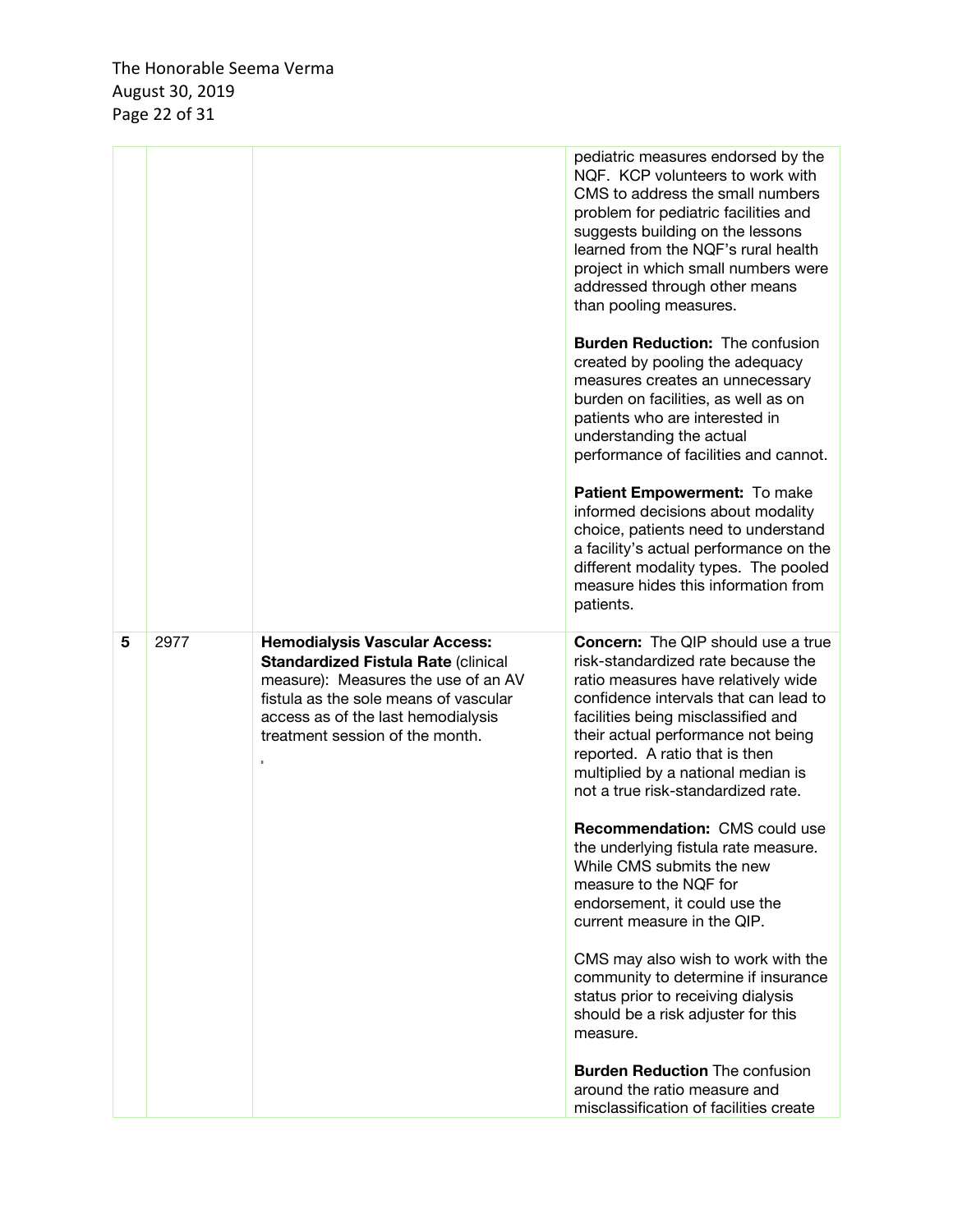|   |      |                                                                                                                                                                                                                                             | pediatric measures endorsed by the<br>NQF. KCP volunteers to work with<br>CMS to address the small numbers<br>problem for pediatric facilities and<br>suggests building on the lessons<br>learned from the NQF's rural health<br>project in which small numbers were<br>addressed through other means<br>than pooling measures.<br><b>Burden Reduction: The confusion</b><br>created by pooling the adequacy<br>measures creates an unnecessary<br>burden on facilities, as well as on<br>patients who are interested in<br>understanding the actual<br>performance of facilities and cannot.<br>Patient Empowerment: To make<br>informed decisions about modality<br>choice, patients need to understand<br>a facility's actual performance on the<br>different modality types. The pooled<br>measure hides this information from<br>patients.          |
|---|------|---------------------------------------------------------------------------------------------------------------------------------------------------------------------------------------------------------------------------------------------|----------------------------------------------------------------------------------------------------------------------------------------------------------------------------------------------------------------------------------------------------------------------------------------------------------------------------------------------------------------------------------------------------------------------------------------------------------------------------------------------------------------------------------------------------------------------------------------------------------------------------------------------------------------------------------------------------------------------------------------------------------------------------------------------------------------------------------------------------------|
| 5 | 2977 | <b>Hemodialysis Vascular Access:</b><br><b>Standardized Fistula Rate (clinical</b><br>measure): Measures the use of an AV<br>fistula as the sole means of vascular<br>access as of the last hemodialysis<br>treatment session of the month. | <b>Concern:</b> The QIP should use a true<br>risk-standardized rate because the<br>ratio measures have relatively wide<br>confidence intervals that can lead to<br>facilities being misclassified and<br>their actual performance not being<br>reported. A ratio that is then<br>multiplied by a national median is<br>not a true risk-standardized rate.<br><b>Recommendation: CMS could use</b><br>the underlying fistula rate measure.<br>While CMS submits the new<br>measure to the NQF for<br>endorsement, it could use the<br>current measure in the QIP.<br>CMS may also wish to work with the<br>community to determine if insurance<br>status prior to receiving dialysis<br>should be a risk adjuster for this<br>measure.<br><b>Burden Reduction The confusion</b><br>around the ratio measure and<br>misclassification of facilities create |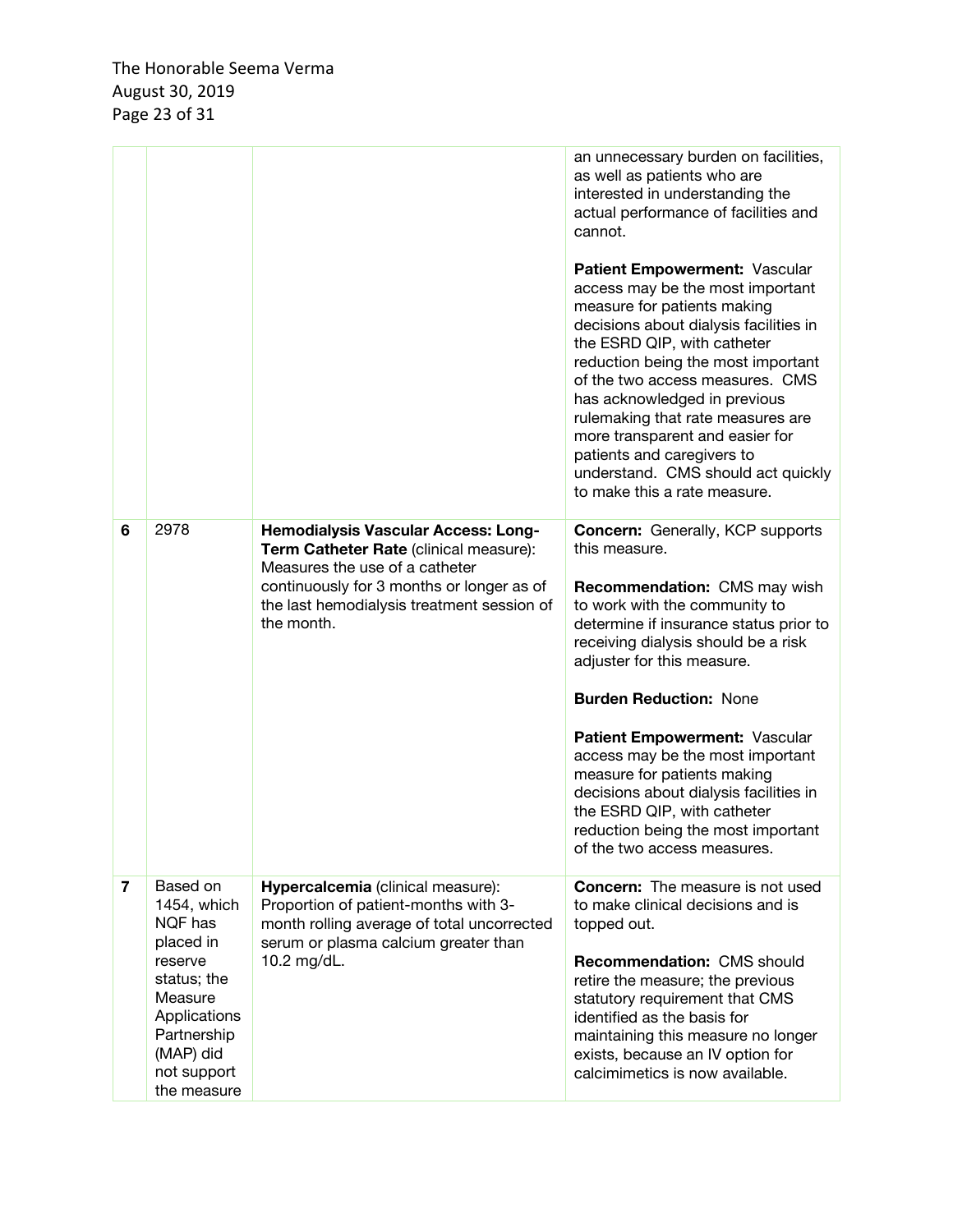|                |                                                                                                                                                                |                                                                                                                                                                                                                                 | an unnecessary burden on facilities,<br>as well as patients who are<br>interested in understanding the<br>actual performance of facilities and<br>cannot.<br>Patient Empowerment: Vascular<br>access may be the most important<br>measure for patients making<br>decisions about dialysis facilities in<br>the ESRD QIP, with catheter<br>reduction being the most important<br>of the two access measures. CMS<br>has acknowledged in previous<br>rulemaking that rate measures are<br>more transparent and easier for<br>patients and caregivers to<br>understand. CMS should act quickly<br>to make this a rate measure. |
|----------------|----------------------------------------------------------------------------------------------------------------------------------------------------------------|---------------------------------------------------------------------------------------------------------------------------------------------------------------------------------------------------------------------------------|-----------------------------------------------------------------------------------------------------------------------------------------------------------------------------------------------------------------------------------------------------------------------------------------------------------------------------------------------------------------------------------------------------------------------------------------------------------------------------------------------------------------------------------------------------------------------------------------------------------------------------|
| 6              | 2978                                                                                                                                                           | <b>Hemodialysis Vascular Access: Long-</b><br>Term Catheter Rate (clinical measure):<br>Measures the use of a catheter<br>continuously for 3 months or longer as of<br>the last hemodialysis treatment session of<br>the month. | <b>Concern:</b> Generally, KCP supports<br>this measure.<br>Recommendation: CMS may wish<br>to work with the community to<br>determine if insurance status prior to<br>receiving dialysis should be a risk<br>adjuster for this measure.<br><b>Burden Reduction: None</b><br>Patient Empowerment: Vascular<br>access may be the most important<br>measure for patients making<br>decisions about dialysis facilities in<br>the ESRD QIP, with catheter<br>reduction being the most important<br>of the two access measures.                                                                                                 |
| $\overline{7}$ | Based on<br>1454, which<br>NQF has<br>placed in<br>reserve<br>status; the<br>Measure<br>Applications<br>Partnership<br>(MAP) did<br>not support<br>the measure | Hypercalcemia (clinical measure):<br>Proportion of patient-months with 3-<br>month rolling average of total uncorrected<br>serum or plasma calcium greater than<br>10.2 mg/dL.                                                  | <b>Concern:</b> The measure is not used<br>to make clinical decisions and is<br>topped out.<br><b>Recommendation: CMS should</b><br>retire the measure; the previous<br>statutory requirement that CMS<br>identified as the basis for<br>maintaining this measure no longer<br>exists, because an IV option for<br>calcimimetics is now available.                                                                                                                                                                                                                                                                          |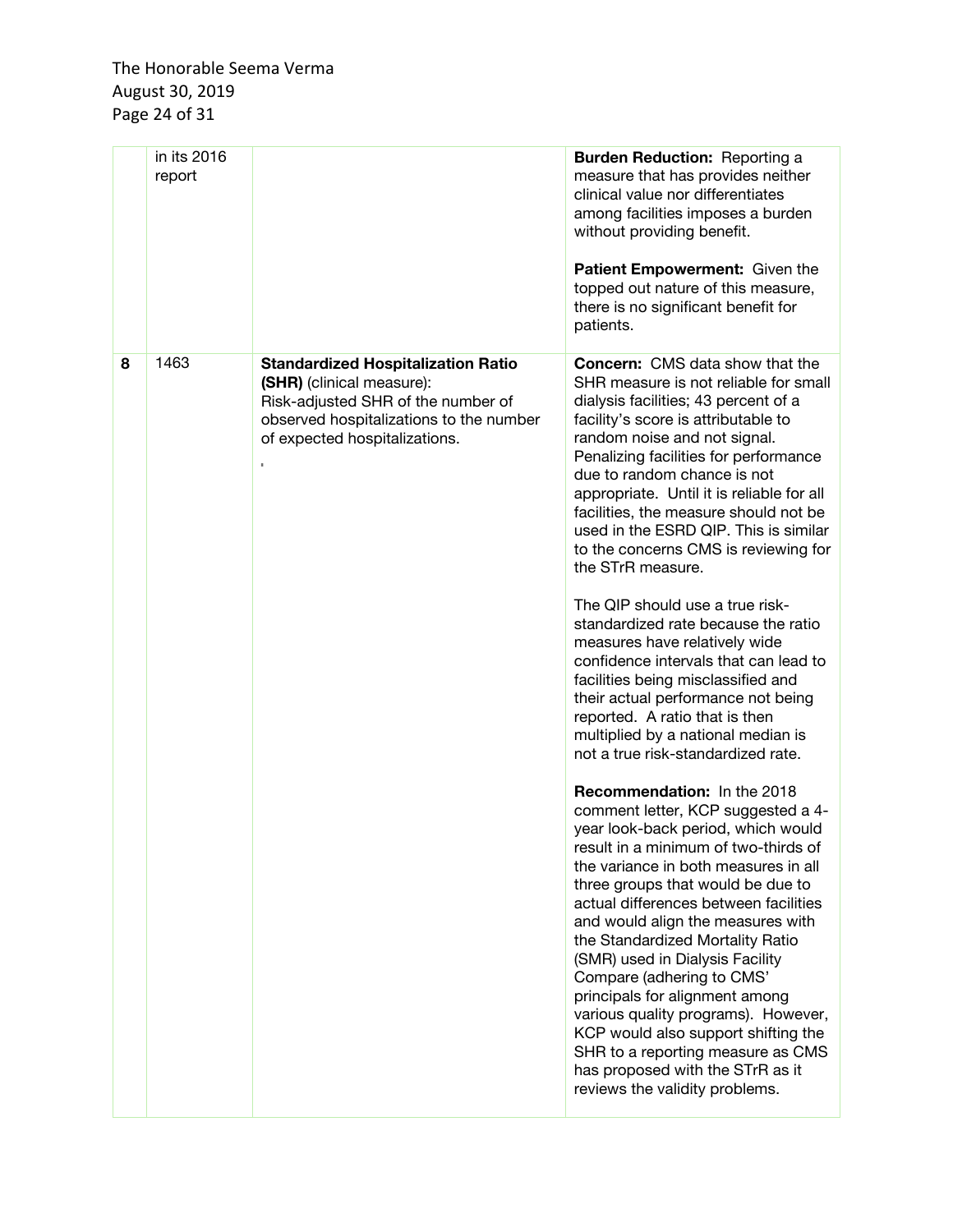|   | in its 2016<br>report |                                                                                                                                                                                               | <b>Burden Reduction: Reporting a</b><br>measure that has provides neither<br>clinical value nor differentiates<br>among facilities imposes a burden<br>without providing benefit.<br>Patient Empowerment: Given the<br>topped out nature of this measure,<br>there is no significant benefit for<br>patients.                                                                                                                                                                                                                                                                                                                                                                                                                                                                                                                                                                                                                                                                                                                                                                                                                                                                                                                                                                                                                                                                                                                                                 |
|---|-----------------------|-----------------------------------------------------------------------------------------------------------------------------------------------------------------------------------------------|---------------------------------------------------------------------------------------------------------------------------------------------------------------------------------------------------------------------------------------------------------------------------------------------------------------------------------------------------------------------------------------------------------------------------------------------------------------------------------------------------------------------------------------------------------------------------------------------------------------------------------------------------------------------------------------------------------------------------------------------------------------------------------------------------------------------------------------------------------------------------------------------------------------------------------------------------------------------------------------------------------------------------------------------------------------------------------------------------------------------------------------------------------------------------------------------------------------------------------------------------------------------------------------------------------------------------------------------------------------------------------------------------------------------------------------------------------------|
| 8 | 1463                  | <b>Standardized Hospitalization Ratio</b><br>(SHR) (clinical measure):<br>Risk-adjusted SHR of the number of<br>observed hospitalizations to the number<br>of expected hospitalizations.<br>× | <b>Concern:</b> CMS data show that the<br>SHR measure is not reliable for small<br>dialysis facilities; 43 percent of a<br>facility's score is attributable to<br>random noise and not signal.<br>Penalizing facilities for performance<br>due to random chance is not<br>appropriate. Until it is reliable for all<br>facilities, the measure should not be<br>used in the ESRD QIP. This is similar<br>to the concerns CMS is reviewing for<br>the STrR measure.<br>The QIP should use a true risk-<br>standardized rate because the ratio<br>measures have relatively wide<br>confidence intervals that can lead to<br>facilities being misclassified and<br>their actual performance not being<br>reported. A ratio that is then<br>multiplied by a national median is<br>not a true risk-standardized rate.<br>Recommendation: In the 2018<br>comment letter, KCP suggested a 4-<br>year look-back period, which would<br>result in a minimum of two-thirds of<br>the variance in both measures in all<br>three groups that would be due to<br>actual differences between facilities<br>and would align the measures with<br>the Standardized Mortality Ratio<br>(SMR) used in Dialysis Facility<br>Compare (adhering to CMS'<br>principals for alignment among<br>various quality programs). However,<br>KCP would also support shifting the<br>SHR to a reporting measure as CMS<br>has proposed with the STrR as it<br>reviews the validity problems. |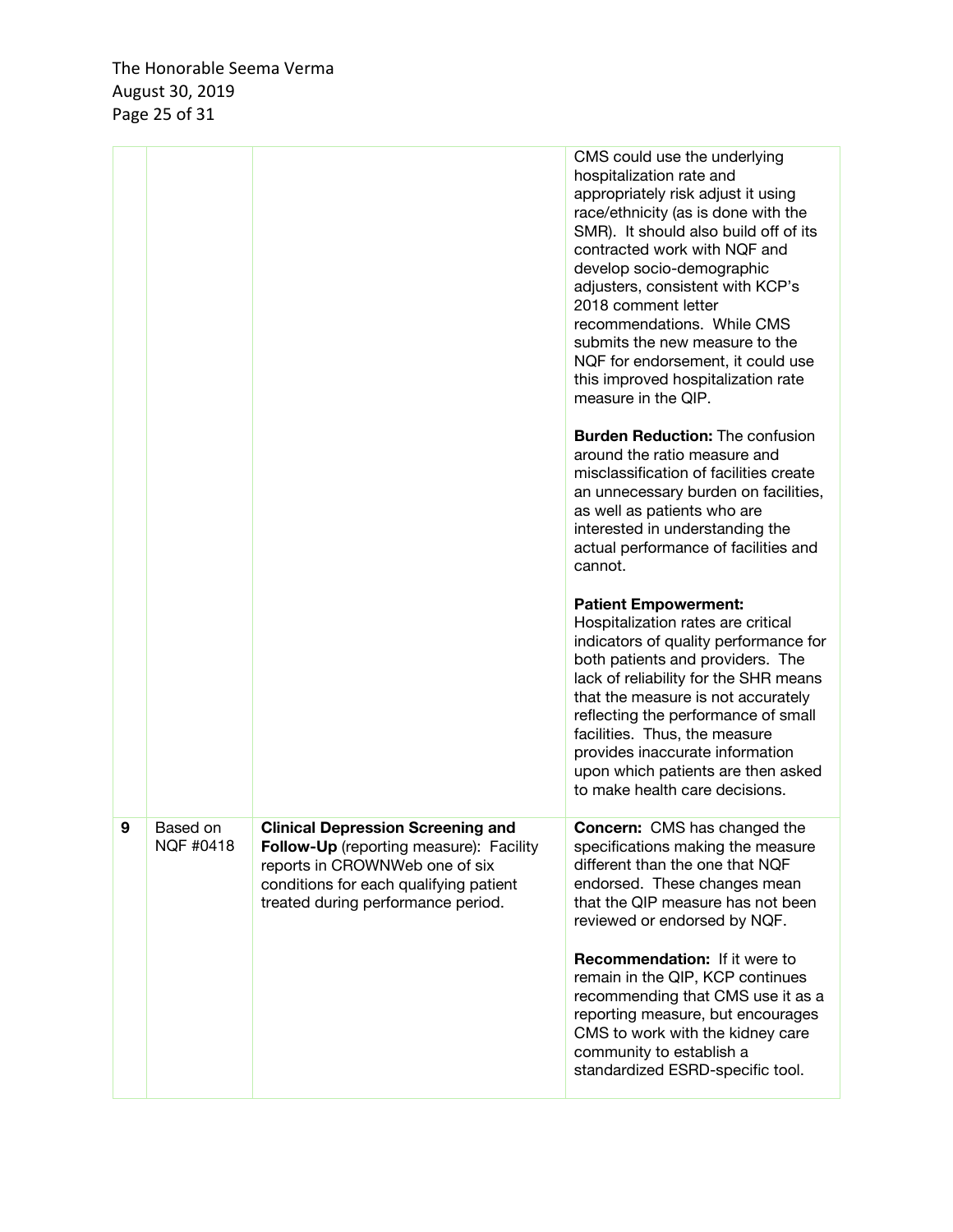The Honorable Seema Verma August 30, 2019 Page 25 of 31

|   |                       |                                                                                                                                                                                                              | CMS could use the underlying<br>hospitalization rate and<br>appropriately risk adjust it using<br>race/ethnicity (as is done with the<br>SMR). It should also build off of its<br>contracted work with NQF and<br>develop socio-demographic<br>adjusters, consistent with KCP's<br>2018 comment letter<br>recommendations. While CMS<br>submits the new measure to the<br>NQF for endorsement, it could use<br>this improved hospitalization rate<br>measure in the QIP. |
|---|-----------------------|--------------------------------------------------------------------------------------------------------------------------------------------------------------------------------------------------------------|--------------------------------------------------------------------------------------------------------------------------------------------------------------------------------------------------------------------------------------------------------------------------------------------------------------------------------------------------------------------------------------------------------------------------------------------------------------------------|
|   |                       |                                                                                                                                                                                                              | <b>Burden Reduction: The confusion</b><br>around the ratio measure and<br>misclassification of facilities create<br>an unnecessary burden on facilities,<br>as well as patients who are<br>interested in understanding the<br>actual performance of facilities and<br>cannot.                                                                                                                                                                                            |
|   |                       |                                                                                                                                                                                                              | <b>Patient Empowerment:</b><br>Hospitalization rates are critical<br>indicators of quality performance for<br>both patients and providers. The<br>lack of reliability for the SHR means<br>that the measure is not accurately<br>reflecting the performance of small<br>facilities. Thus, the measure<br>provides inaccurate information<br>upon which patients are then asked<br>to make health care decisions.                                                         |
| 9 | Based on<br>NQF #0418 | <b>Clinical Depression Screening and</b><br><b>Follow-Up</b> (reporting measure): Facility<br>reports in CROWNWeb one of six<br>conditions for each qualifying patient<br>treated during performance period. | <b>Concern:</b> CMS has changed the<br>specifications making the measure<br>different than the one that NQF<br>endorsed. These changes mean<br>that the QIP measure has not been<br>reviewed or endorsed by NQF.                                                                                                                                                                                                                                                         |
|   |                       |                                                                                                                                                                                                              | <b>Recommendation:</b> If it were to<br>remain in the QIP, KCP continues<br>recommending that CMS use it as a<br>reporting measure, but encourages<br>CMS to work with the kidney care<br>community to establish a<br>standardized ESRD-specific tool.                                                                                                                                                                                                                   |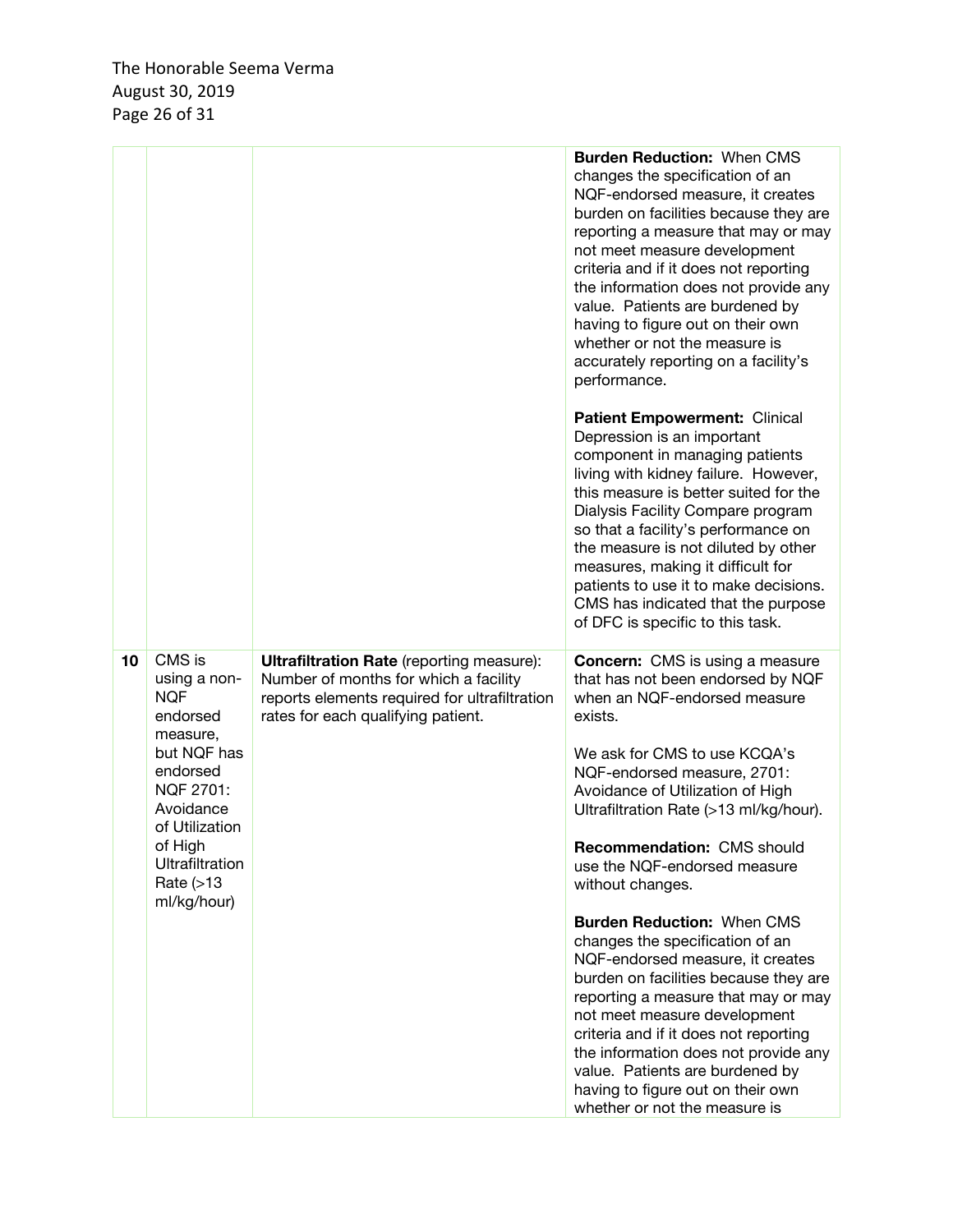|    |                                                                                                                                                                                                      |                                                                                                                                                                                  | <b>Burden Reduction: When CMS</b><br>changes the specification of an<br>NQF-endorsed measure, it creates<br>burden on facilities because they are<br>reporting a measure that may or may<br>not meet measure development<br>criteria and if it does not reporting<br>the information does not provide any<br>value. Patients are burdened by<br>having to figure out on their own<br>whether or not the measure is<br>accurately reporting on a facility's<br>performance.                                                                                                                                                                                                                                                                                                  |
|----|------------------------------------------------------------------------------------------------------------------------------------------------------------------------------------------------------|----------------------------------------------------------------------------------------------------------------------------------------------------------------------------------|-----------------------------------------------------------------------------------------------------------------------------------------------------------------------------------------------------------------------------------------------------------------------------------------------------------------------------------------------------------------------------------------------------------------------------------------------------------------------------------------------------------------------------------------------------------------------------------------------------------------------------------------------------------------------------------------------------------------------------------------------------------------------------|
|    |                                                                                                                                                                                                      |                                                                                                                                                                                  | Patient Empowerment: Clinical<br>Depression is an important<br>component in managing patients<br>living with kidney failure. However,<br>this measure is better suited for the<br>Dialysis Facility Compare program<br>so that a facility's performance on<br>the measure is not diluted by other<br>measures, making it difficult for<br>patients to use it to make decisions.<br>CMS has indicated that the purpose<br>of DFC is specific to this task.                                                                                                                                                                                                                                                                                                                   |
| 10 | CMS is<br>using a non-<br><b>NQF</b><br>endorsed<br>measure,<br>but NQF has<br>endorsed<br>NQF 2701:<br>Avoidance<br>of Utilization<br>of High<br><b>Ultrafiltration</b><br>Rate (>13<br>ml/kg/hour) | <b>Ultrafiltration Rate</b> (reporting measure):<br>Number of months for which a facility<br>reports elements required for ultrafiltration<br>rates for each qualifying patient. | <b>Concern:</b> CMS is using a measure<br>that has not been endorsed by NQF<br>when an NQF-endorsed measure<br>exists.<br>We ask for CMS to use KCQA's<br>NQF-endorsed measure, 2701:<br>Avoidance of Utilization of High<br>Ultrafiltration Rate (>13 ml/kg/hour).<br>Recommendation: CMS should<br>use the NQF-endorsed measure<br>without changes.<br><b>Burden Reduction: When CMS</b><br>changes the specification of an<br>NQF-endorsed measure, it creates<br>burden on facilities because they are<br>reporting a measure that may or may<br>not meet measure development<br>criteria and if it does not reporting<br>the information does not provide any<br>value. Patients are burdened by<br>having to figure out on their own<br>whether or not the measure is |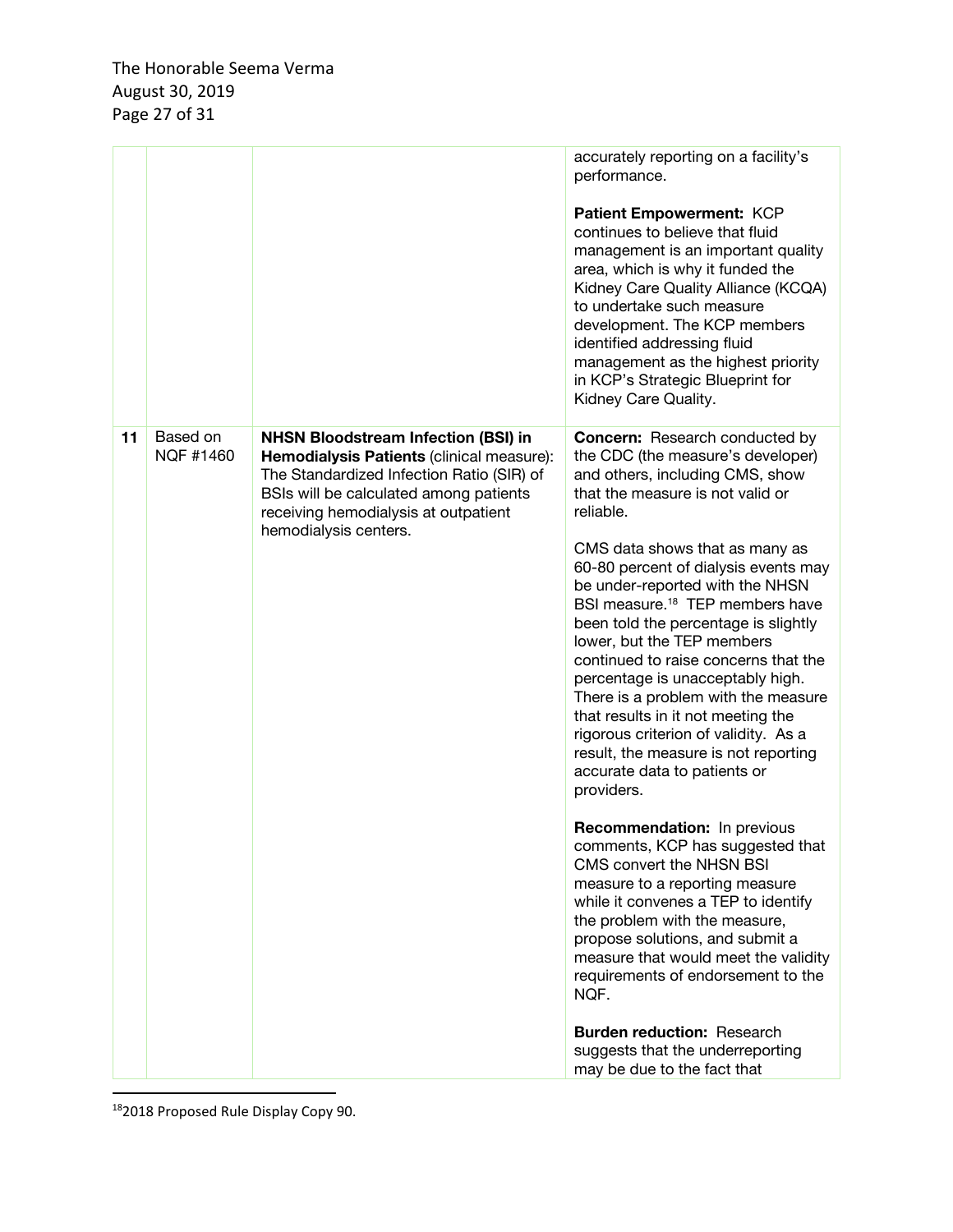|    |                       |                                                                                                                                                                                                                                                 | accurately reporting on a facility's<br>performance.<br>Patient Empowerment: KCP<br>continues to believe that fluid<br>management is an important quality<br>area, which is why it funded the<br>Kidney Care Quality Alliance (KCQA)<br>to undertake such measure<br>development. The KCP members<br>identified addressing fluid<br>management as the highest priority<br>in KCP's Strategic Blueprint for<br>Kidney Care Quality.                                                                                                                                                                                                                                                      |
|----|-----------------------|-------------------------------------------------------------------------------------------------------------------------------------------------------------------------------------------------------------------------------------------------|-----------------------------------------------------------------------------------------------------------------------------------------------------------------------------------------------------------------------------------------------------------------------------------------------------------------------------------------------------------------------------------------------------------------------------------------------------------------------------------------------------------------------------------------------------------------------------------------------------------------------------------------------------------------------------------------|
| 11 | Based on<br>NQF #1460 | <b>NHSN Bloodstream Infection (BSI) in</b><br>Hemodialysis Patients (clinical measure):<br>The Standardized Infection Ratio (SIR) of<br>BSIs will be calculated among patients<br>receiving hemodialysis at outpatient<br>hemodialysis centers. | <b>Concern:</b> Research conducted by<br>the CDC (the measure's developer)<br>and others, including CMS, show<br>that the measure is not valid or<br>reliable.<br>CMS data shows that as many as<br>60-80 percent of dialysis events may<br>be under-reported with the NHSN<br>BSI measure. <sup>18</sup> TEP members have<br>been told the percentage is slightly<br>lower, but the TEP members<br>continued to raise concerns that the<br>percentage is unacceptably high.<br>There is a problem with the measure<br>that results in it not meeting the<br>rigorous criterion of validity. As a<br>result, the measure is not reporting<br>accurate data to patients or<br>providers. |
|    |                       |                                                                                                                                                                                                                                                 | <b>Recommendation:</b> In previous<br>comments, KCP has suggested that<br>CMS convert the NHSN BSI<br>measure to a reporting measure<br>while it convenes a TEP to identify<br>the problem with the measure,<br>propose solutions, and submit a<br>measure that would meet the validity<br>requirements of endorsement to the<br>NQF.<br><b>Burden reduction: Research</b><br>suggests that the underreporting<br>may be due to the fact that                                                                                                                                                                                                                                           |

182018 Proposed Rule Display Copy 90.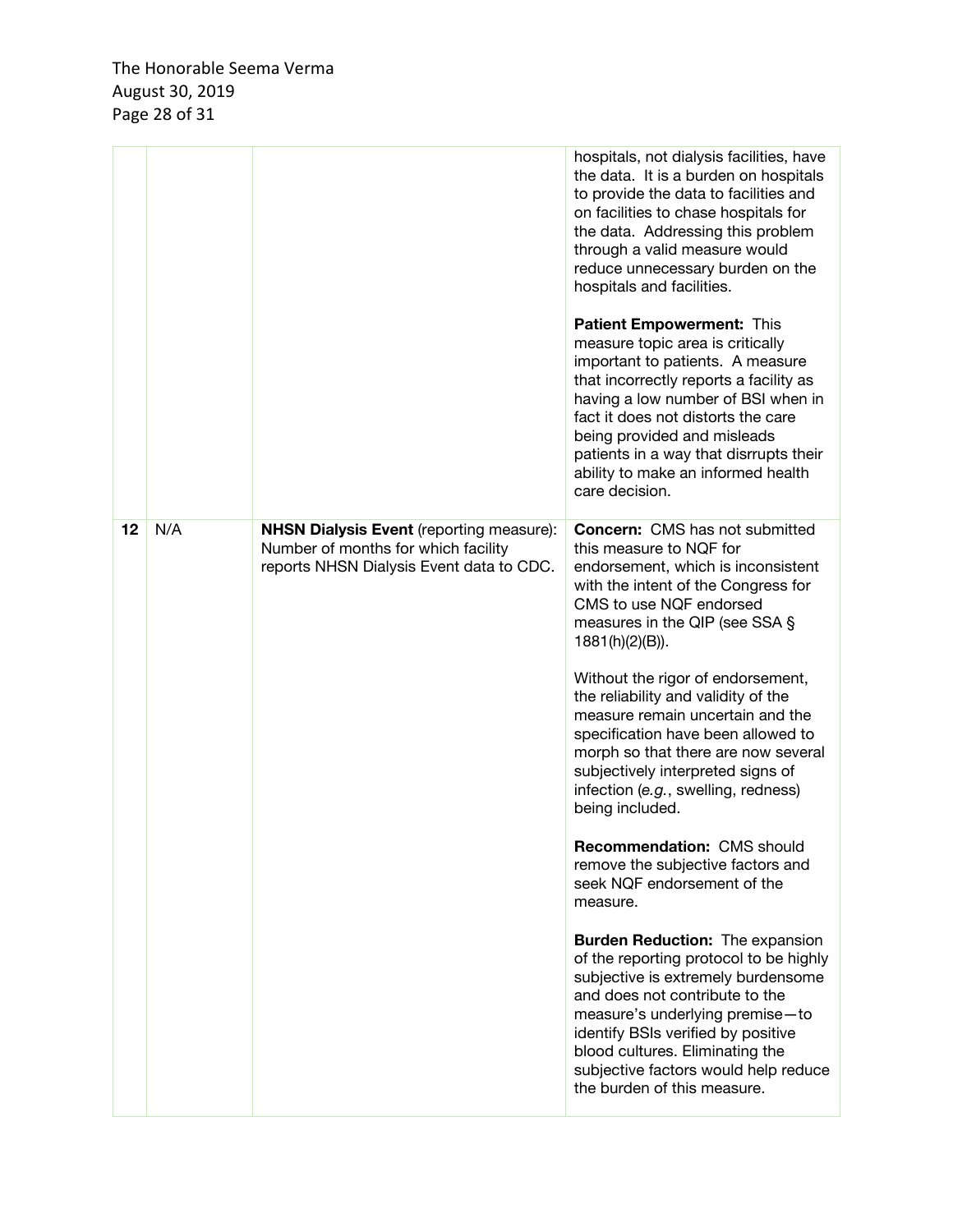|    |     |                                                                                                                                    | hospitals, not dialysis facilities, have<br>the data. It is a burden on hospitals<br>to provide the data to facilities and<br>on facilities to chase hospitals for<br>the data. Addressing this problem<br>through a valid measure would<br>reduce unnecessary burden on the<br>hospitals and facilities.<br><b>Patient Empowerment: This</b><br>measure topic area is critically<br>important to patients. A measure<br>that incorrectly reports a facility as<br>having a low number of BSI when in<br>fact it does not distorts the care<br>being provided and misleads<br>patients in a way that disrrupts their<br>ability to make an informed health<br>care decision. |
|----|-----|------------------------------------------------------------------------------------------------------------------------------------|------------------------------------------------------------------------------------------------------------------------------------------------------------------------------------------------------------------------------------------------------------------------------------------------------------------------------------------------------------------------------------------------------------------------------------------------------------------------------------------------------------------------------------------------------------------------------------------------------------------------------------------------------------------------------|
| 12 | N/A | <b>NHSN Dialysis Event (reporting measure):</b><br>Number of months for which facility<br>reports NHSN Dialysis Event data to CDC. | <b>Concern:</b> CMS has not submitted<br>this measure to NQF for<br>endorsement, which is inconsistent<br>with the intent of the Congress for<br>CMS to use NQF endorsed<br>measures in the QIP (see SSA §<br>1881(h)(2)(B)).                                                                                                                                                                                                                                                                                                                                                                                                                                                |
|    |     |                                                                                                                                    | Without the rigor of endorsement,<br>the reliability and validity of the<br>measure remain uncertain and the<br>specification have been allowed to<br>morph so that there are now several<br>subjectively interpreted signs of<br>infection (e.g., swelling, redness)<br>being included.                                                                                                                                                                                                                                                                                                                                                                                     |
|    |     |                                                                                                                                    | Recommendation: CMS should<br>remove the subjective factors and<br>seek NQF endorsement of the<br>measure.                                                                                                                                                                                                                                                                                                                                                                                                                                                                                                                                                                   |
|    |     |                                                                                                                                    | <b>Burden Reduction: The expansion</b><br>of the reporting protocol to be highly<br>subjective is extremely burdensome<br>and does not contribute to the<br>measure's underlying premise-to<br>identify BSIs verified by positive<br>blood cultures. Eliminating the<br>subjective factors would help reduce<br>the burden of this measure.                                                                                                                                                                                                                                                                                                                                  |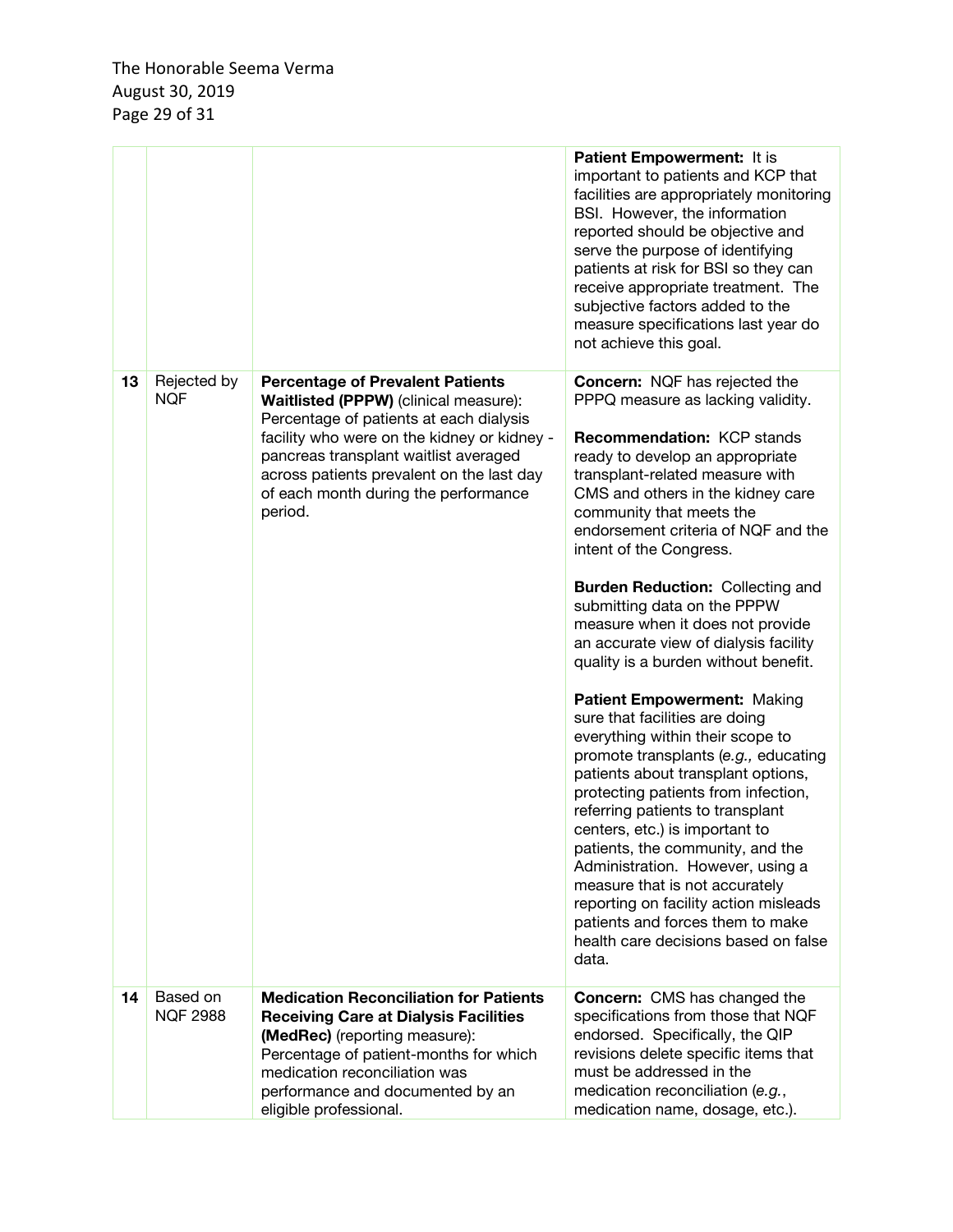|    |                             |                                                                                                                                                                                                                                                                                                                     | Patient Empowerment: It is<br>important to patients and KCP that<br>facilities are appropriately monitoring<br>BSI. However, the information<br>reported should be objective and<br>serve the purpose of identifying<br>patients at risk for BSI so they can<br>receive appropriate treatment. The<br>subjective factors added to the<br>measure specifications last year do<br>not achieve this goal.                                                                                                                                                                                                                                                                                                                                                                                                                                                                                                                                                                                                                                                         |
|----|-----------------------------|---------------------------------------------------------------------------------------------------------------------------------------------------------------------------------------------------------------------------------------------------------------------------------------------------------------------|----------------------------------------------------------------------------------------------------------------------------------------------------------------------------------------------------------------------------------------------------------------------------------------------------------------------------------------------------------------------------------------------------------------------------------------------------------------------------------------------------------------------------------------------------------------------------------------------------------------------------------------------------------------------------------------------------------------------------------------------------------------------------------------------------------------------------------------------------------------------------------------------------------------------------------------------------------------------------------------------------------------------------------------------------------------|
| 13 | Rejected by<br><b>NQF</b>   | <b>Percentage of Prevalent Patients</b><br>Waitlisted (PPPW) (clinical measure):<br>Percentage of patients at each dialysis<br>facility who were on the kidney or kidney -<br>pancreas transplant waitlist averaged<br>across patients prevalent on the last day<br>of each month during the performance<br>period. | <b>Concern: NQF has rejected the</b><br>PPPQ measure as lacking validity.<br><b>Recommendation: KCP stands</b><br>ready to develop an appropriate<br>transplant-related measure with<br>CMS and others in the kidney care<br>community that meets the<br>endorsement criteria of NQF and the<br>intent of the Congress.<br><b>Burden Reduction: Collecting and</b><br>submitting data on the PPPW<br>measure when it does not provide<br>an accurate view of dialysis facility<br>quality is a burden without benefit.<br>Patient Empowerment: Making<br>sure that facilities are doing<br>everything within their scope to<br>promote transplants (e.g., educating<br>patients about transplant options,<br>protecting patients from infection,<br>referring patients to transplant<br>centers, etc.) is important to<br>patients, the community, and the<br>Administration. However, using a<br>measure that is not accurately<br>reporting on facility action misleads<br>patients and forces them to make<br>health care decisions based on false<br>data. |
| 14 | Based on<br><b>NQF 2988</b> | <b>Medication Reconciliation for Patients</b><br><b>Receiving Care at Dialysis Facilities</b><br>(MedRec) (reporting measure):<br>Percentage of patient-months for which<br>medication reconciliation was<br>performance and documented by an<br>eligible professional.                                             | <b>Concern:</b> CMS has changed the<br>specifications from those that NQF<br>endorsed. Specifically, the QIP<br>revisions delete specific items that<br>must be addressed in the<br>medication reconciliation (e.g.,<br>medication name, dosage, etc.).                                                                                                                                                                                                                                                                                                                                                                                                                                                                                                                                                                                                                                                                                                                                                                                                        |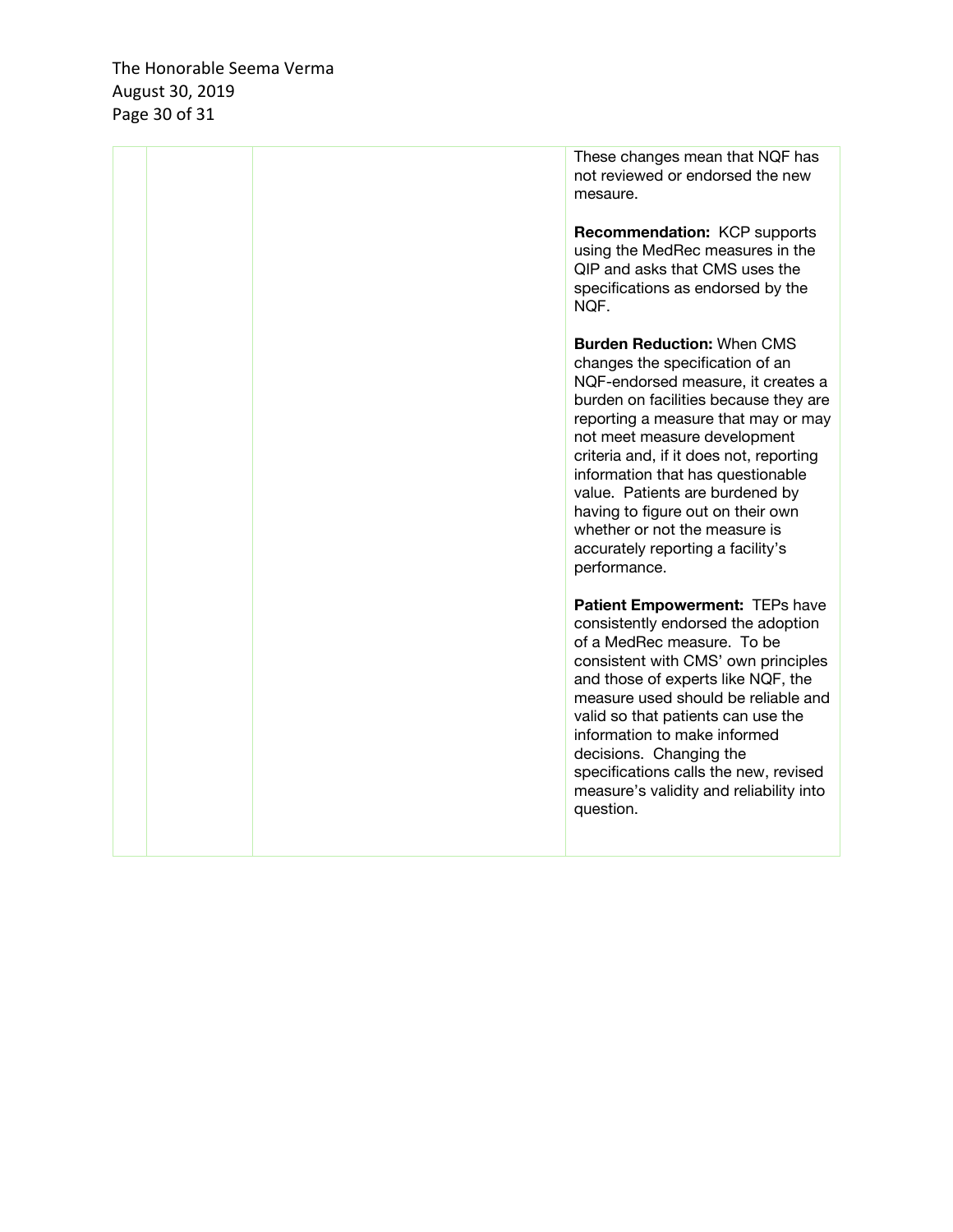The Honorable Seema Verma August 30, 2019 Page 30 of 31

|  | These changes mean that NQF has<br>not reviewed or endorsed the new<br>mesaure.<br><b>Recommendation: KCP supports</b><br>using the MedRec measures in the<br>QIP and asks that CMS uses the<br>specifications as endorsed by the<br>NQF.                                                                                                                                                                                                                                |
|--|--------------------------------------------------------------------------------------------------------------------------------------------------------------------------------------------------------------------------------------------------------------------------------------------------------------------------------------------------------------------------------------------------------------------------------------------------------------------------|
|  | <b>Burden Reduction: When CMS</b><br>changes the specification of an<br>NQF-endorsed measure, it creates a<br>burden on facilities because they are<br>reporting a measure that may or may<br>not meet measure development<br>criteria and, if it does not, reporting<br>information that has questionable<br>value. Patients are burdened by<br>having to figure out on their own<br>whether or not the measure is<br>accurately reporting a facility's<br>performance. |
|  | Patient Empowerment: TEPs have<br>consistently endorsed the adoption<br>of a MedRec measure. To be<br>consistent with CMS' own principles<br>and those of experts like NQF, the<br>measure used should be reliable and<br>valid so that patients can use the<br>information to make informed<br>decisions. Changing the<br>specifications calls the new, revised<br>measure's validity and reliability into<br>question.                                                 |